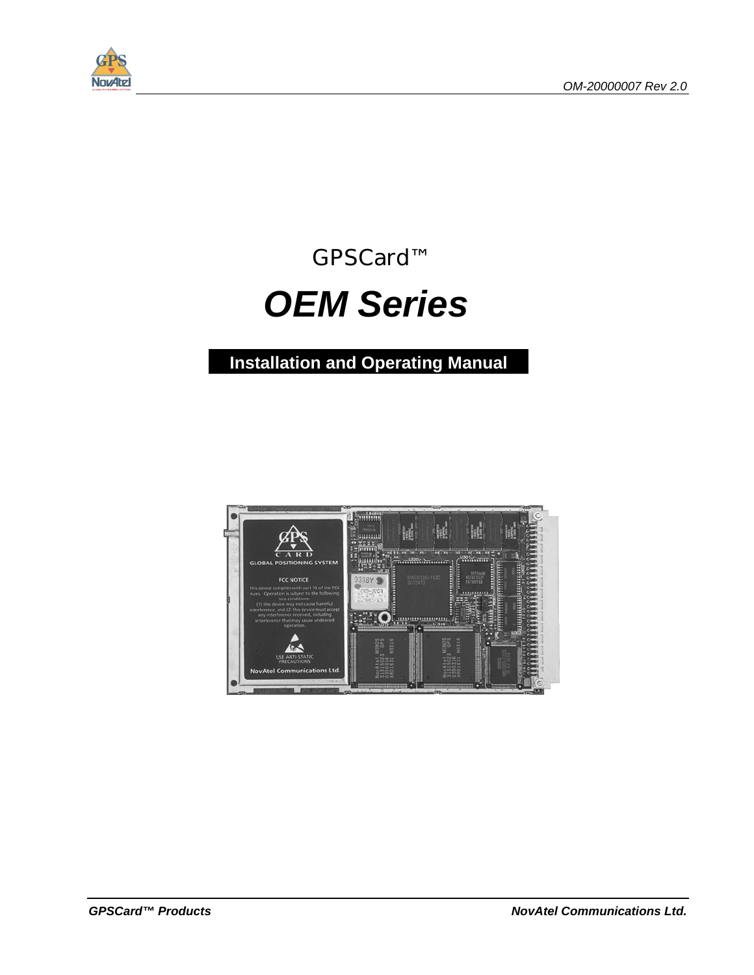

GPSCard™

# *OEM Series*

**Installation and Operating Manual**

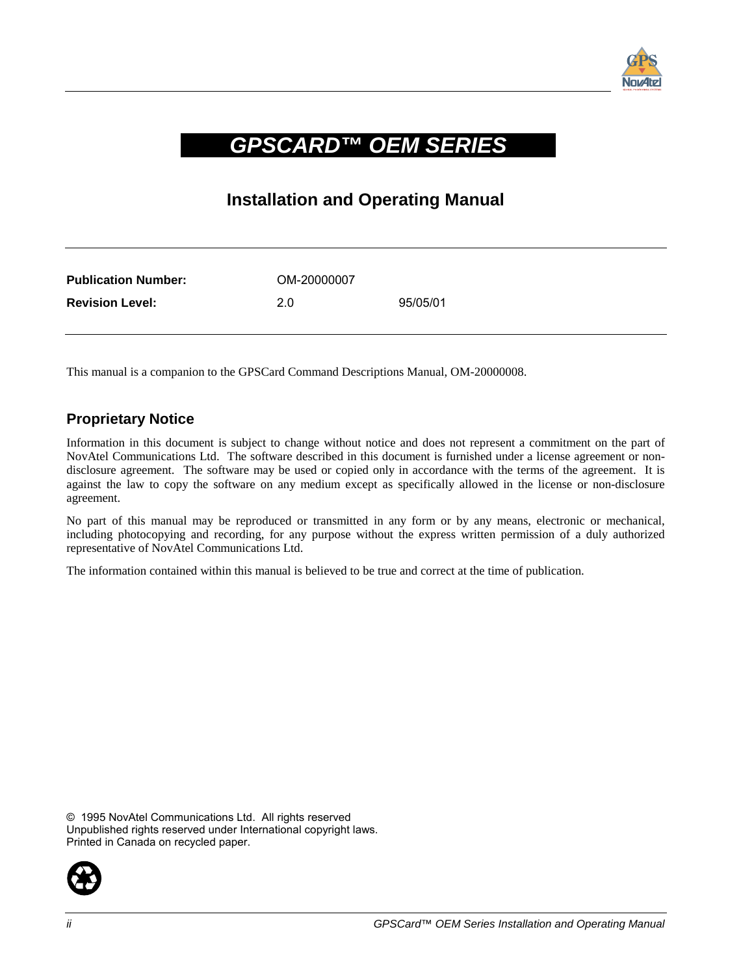

### *GPSCARD™ OEM SERIES*

### **Installation and Operating Manual**

| <b>Publication Number:</b> | OM-20000007 |          |
|----------------------------|-------------|----------|
| <b>Revision Level:</b>     | 2.0         | 95/05/01 |

This manual is a companion to the GPSCard Command Descriptions Manual, OM-20000008.

#### **Proprietary Notice**

Information in this document is subject to change without notice and does not represent a commitment on the part of NovAtel Communications Ltd. The software described in this document is furnished under a license agreement or nondisclosure agreement. The software may be used or copied only in accordance with the terms of the agreement. It is against the law to copy the software on any medium except as specifically allowed in the license or non-disclosure agreement.

No part of this manual may be reproduced or transmitted in any form or by any means, electronic or mechanical, including photocopying and recording, for any purpose without the express written permission of a duly authorized representative of NovAtel Communications Ltd.

The information contained within this manual is believed to be true and correct at the time of publication.

© 1995 NovAtel Communications Ltd. All rights reserved Unpublished rights reserved under International copyright laws. Printed in Canada on recycled paper.

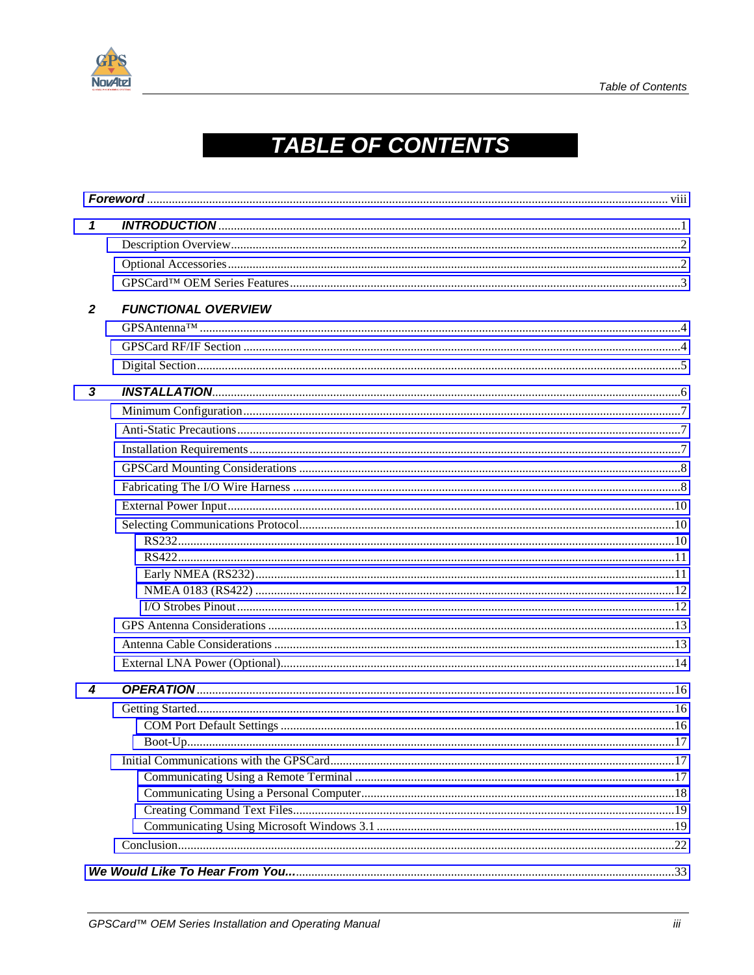

## **TABLE OF CONTENTS**

| 1            |                            |  |
|--------------|----------------------------|--|
|              |                            |  |
|              |                            |  |
|              |                            |  |
| $\mathbf{2}$ | <b>FUNCTIONAL OVERVIEW</b> |  |
|              |                            |  |
|              |                            |  |
|              |                            |  |
| 3            |                            |  |
|              |                            |  |
|              |                            |  |
|              |                            |  |
|              |                            |  |
|              |                            |  |
|              |                            |  |
|              |                            |  |
|              |                            |  |
|              |                            |  |
|              |                            |  |
|              |                            |  |
|              |                            |  |
|              |                            |  |
|              |                            |  |
|              |                            |  |
| 4            |                            |  |
|              |                            |  |
|              |                            |  |
|              |                            |  |
|              |                            |  |
|              |                            |  |
|              |                            |  |
|              |                            |  |
|              |                            |  |
|              |                            |  |
|              |                            |  |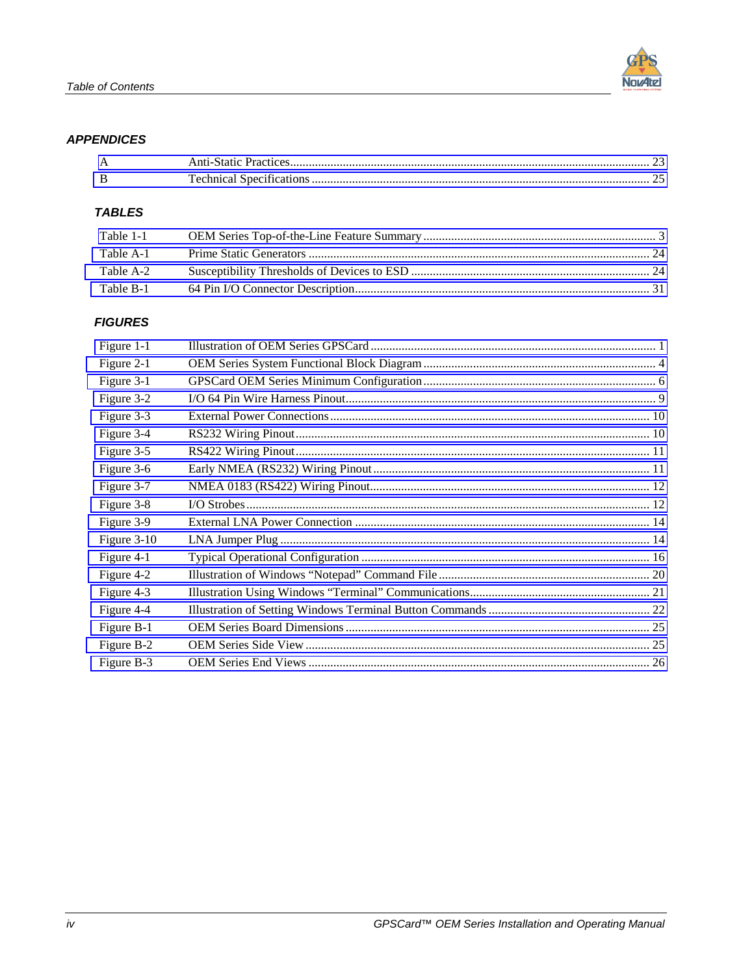#### **APPENDICES**

#### **TABLES**

| Table 1-1 |  |
|-----------|--|
| Table A-1 |  |
| Table A-2 |  |
| Table B-1 |  |

#### **FIGURES**

| Figure 1-1  |  |
|-------------|--|
| Figure 2-1  |  |
| Figure 3-1  |  |
| Figure 3-2  |  |
| Figure 3-3  |  |
| Figure 3-4  |  |
| Figure 3-5  |  |
| Figure 3-6  |  |
| Figure 3-7  |  |
| Figure 3-8  |  |
| Figure 3-9  |  |
| Figure 3-10 |  |
| Figure 4-1  |  |
| Figure 4-2  |  |
| Figure 4-3  |  |
| Figure 4-4  |  |
| Figure B-1  |  |
| Figure B-2  |  |
| Figure B-3  |  |
|             |  |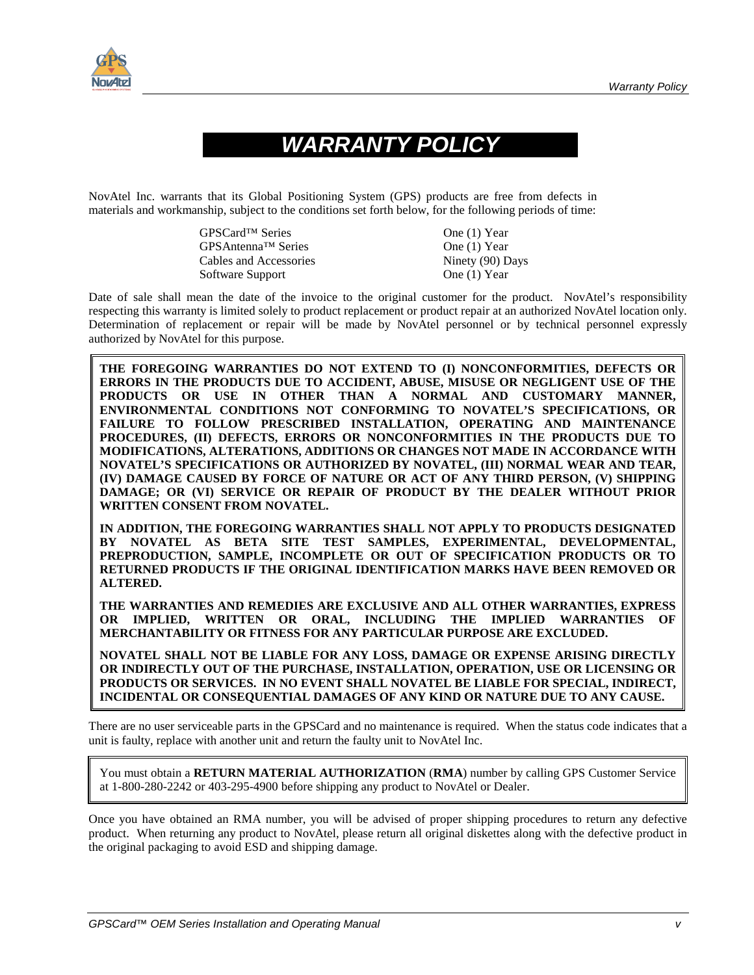

## *WARRANTY POLICY*

NovAtel Inc. warrants that its Global Positioning System (GPS) products are free from defects in materials and workmanship, subject to the conditions set forth below, for the following periods of time:

| GPSCard <sup>™</sup> Series | One (1) Year     |
|-----------------------------|------------------|
| GPSAntenna™ Series          | One $(1)$ Year   |
| Cables and Accessories      | Ninety (90) Days |
| Software Support            | One $(1)$ Year   |

Date of sale shall mean the date of the invoice to the original customer for the product. NovAtel's responsibility respecting this warranty is limited solely to product replacement or product repair at an authorized NovAtel location only. Determination of replacement or repair will be made by NovAtel personnel or by technical personnel expressly authorized by NovAtel for this purpose.

**THE FOREGOING WARRANTIES DO NOT EXTEND TO (I) NONCONFORMITIES, DEFECTS OR ERRORS IN THE PRODUCTS DUE TO ACCIDENT, ABUSE, MISUSE OR NEGLIGENT USE OF THE PRODUCTS OR USE IN OTHER THAN A NORMAL AND CUSTOMARY MANNER, ENVIRONMENTAL CONDITIONS NOT CONFORMING TO NOVATEL'S SPECIFICATIONS, OR FAILURE TO FOLLOW PRESCRIBED INSTALLATION, OPERATING AND MAINTENANCE PROCEDURES, (II) DEFECTS, ERRORS OR NONCONFORMITIES IN THE PRODUCTS DUE TO MODIFICATIONS, ALTERATIONS, ADDITIONS OR CHANGES NOT MADE IN ACCORDANCE WITH NOVATEL'S SPECIFICATIONS OR AUTHORIZED BY NOVATEL, (III) NORMAL WEAR AND TEAR, (IV) DAMAGE CAUSED BY FORCE OF NATURE OR ACT OF ANY THIRD PERSON, (V) SHIPPING DAMAGE; OR (VI) SERVICE OR REPAIR OF PRODUCT BY THE DEALER WITHOUT PRIOR WRITTEN CONSENT FROM NOVATEL.** 

**IN ADDITION, THE FOREGOING WARRANTIES SHALL NOT APPLY TO PRODUCTS DESIGNATED BY NOVATEL AS BETA SITE TEST SAMPLES, EXPERIMENTAL, DEVELOPMENTAL, PREPRODUCTION, SAMPLE, INCOMPLETE OR OUT OF SPECIFICATION PRODUCTS OR TO RETURNED PRODUCTS IF THE ORIGINAL IDENTIFICATION MARKS HAVE BEEN REMOVED OR ALTERED.** 

**THE WARRANTIES AND REMEDIES ARE EXCLUSIVE AND ALL OTHER WARRANTIES, EXPRESS OR IMPLIED, WRITTEN OR ORAL, INCLUDING THE IMPLIED WARRANTIES OF MERCHANTABILITY OR FITNESS FOR ANY PARTICULAR PURPOSE ARE EXCLUDED.** 

**NOVATEL SHALL NOT BE LIABLE FOR ANY LOSS, DAMAGE OR EXPENSE ARISING DIRECTLY OR INDIRECTLY OUT OF THE PURCHASE, INSTALLATION, OPERATION, USE OR LICENSING OR PRODUCTS OR SERVICES. IN NO EVENT SHALL NOVATEL BE LIABLE FOR SPECIAL, INDIRECT, INCIDENTAL OR CONSEQUENTIAL DAMAGES OF ANY KIND OR NATURE DUE TO ANY CAUSE.**

There are no user serviceable parts in the GPSCard and no maintenance is required. When the status code indicates that a unit is faulty, replace with another unit and return the faulty unit to NovAtel Inc.

You must obtain a **RETURN MATERIAL AUTHORIZATION** (**RMA**) number by calling GPS Customer Service at 1-800-280-2242 or 403-295-4900 before shipping any product to NovAtel or Dealer.

Once you have obtained an RMA number, you will be advised of proper shipping procedures to return any defective product. When returning any product to NovAtel, please return all original diskettes along with the defective product in the original packaging to avoid ESD and shipping damage.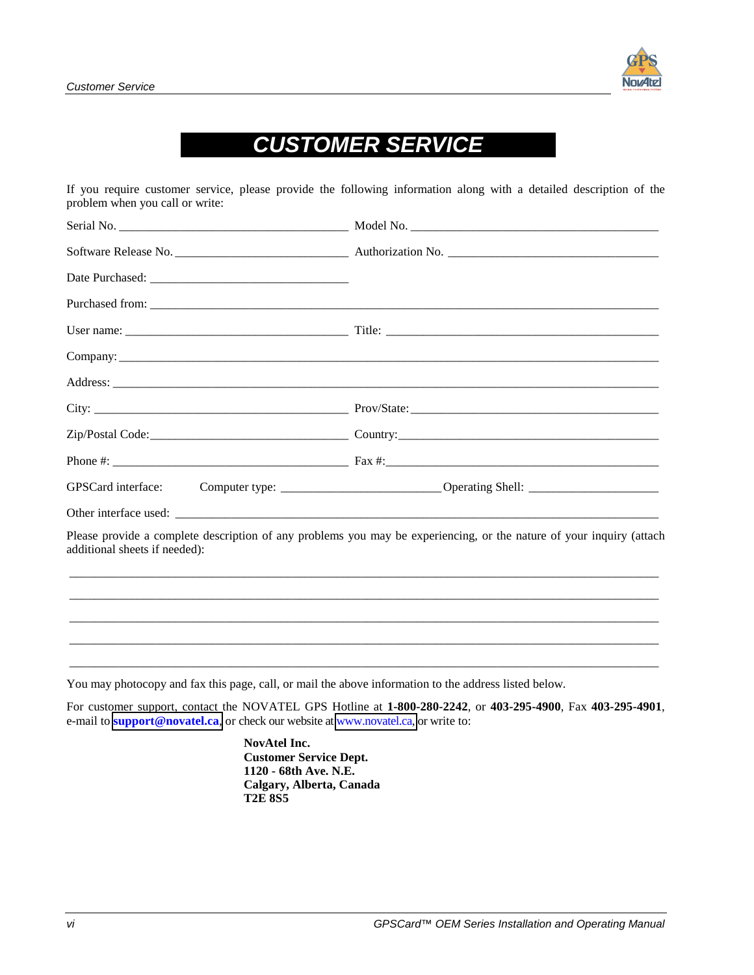## *CUSTOMER SERVICE*

If you require customer service, please provide the following information along with a detailed description of the problem when you call or write:

| GPSCard interface:            | Computer type: _______________________________Operating Shell: __________________                                    |
|-------------------------------|----------------------------------------------------------------------------------------------------------------------|
|                               |                                                                                                                      |
| additional sheets if needed): | Please provide a complete description of any problems you may be experiencing, or the nature of your inquiry (attach |
|                               |                                                                                                                      |
|                               |                                                                                                                      |
|                               |                                                                                                                      |

You may photocopy and fax this page, call, or mail the above information to the address listed below.

For customer support, contact the NOVATEL GPS Hotline at **1-800-280-2242**, or **403-295-4900**, Fax **403-295-4901**, e-mail to **support[@novatel.ca](mailto:support@novatel.ca)**, or check our website at [www.novatel.ca,](www.novatel.ca) or write to:

> **NovAtel Inc. Customer Service Dept. 1120 - 68th Ave. N.E. Calgary, Alberta, Canada T2E 8S5**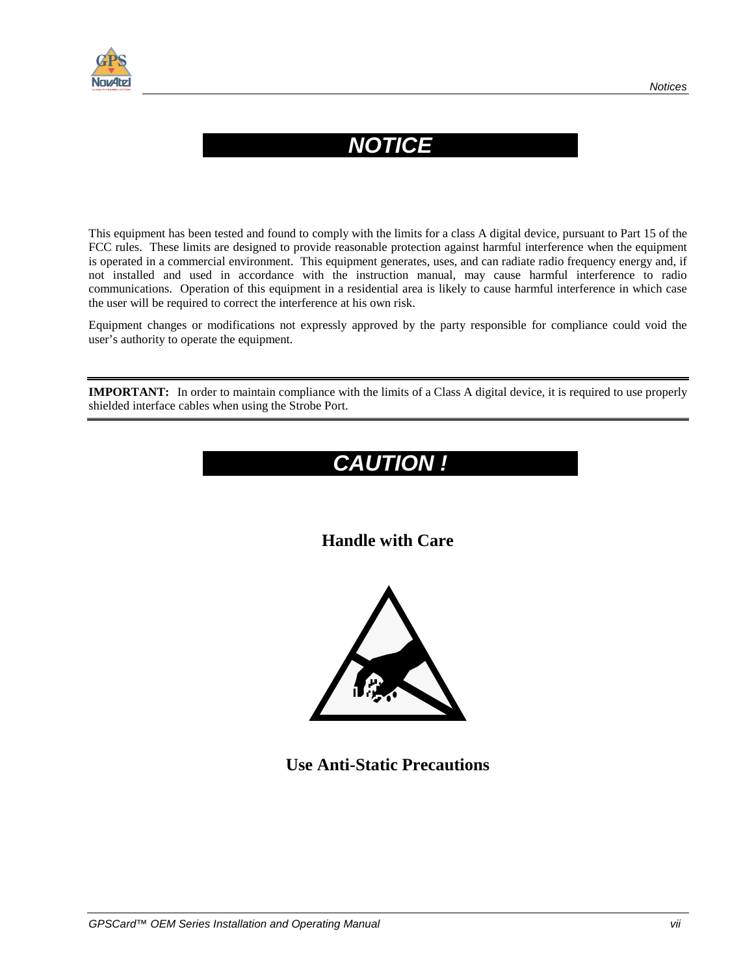

## *NOTICE*

This equipment has been tested and found to comply with the limits for a class A digital device, pursuant to Part 15 of the FCC rules. These limits are designed to provide reasonable protection against harmful interference when the equipment is operated in a commercial environment. This equipment generates, uses, and can radiate radio frequency energy and, if not installed and used in accordance with the instruction manual, may cause harmful interference to radio communications. Operation of this equipment in a residential area is likely to cause harmful interference in which case the user will be required to correct the interference at his own risk.

Equipment changes or modifications not expressly approved by the party responsible for compliance could void the user's authority to operate the equipment.

**IMPORTANT:** In order to maintain compliance with the limits of a Class A digital device, it is required to use properly shielded interface cables when using the Strobe Port.

## *CAUTION !*

### **Handle with Care**



**Use Anti-Static Precautions**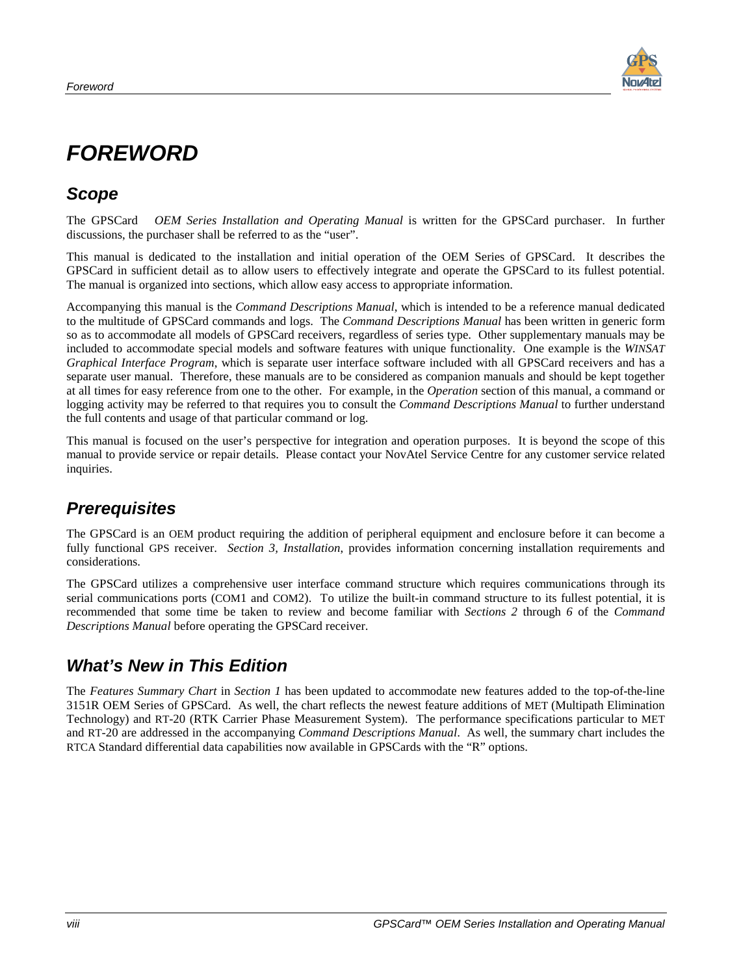

## <span id="page-7-0"></span>*FOREWORD*

### *Scope*

The GPSCard *OEM Series Installation and Operating Manual* is written for the GPSCard purchaser. In further discussions, the purchaser shall be referred to as the "user".

This manual is dedicated to the installation and initial operation of the OEM Series of GPSCard. It describes the GPSCard in sufficient detail as to allow users to effectively integrate and operate the GPSCard to its fullest potential. The manual is organized into sections, which allow easy access to appropriate information.

Accompanying this manual is the *Command Descriptions Manual*, which is intended to be a reference manual dedicated to the multitude of GPSCard commands and logs. The *Command Descriptions Manual* has been written in generic form so as to accommodate all models of GPSCard receivers, regardless of series type. Other supplementary manuals may be included to accommodate special models and software features with unique functionality. One example is the *WINSAT Graphical Interface Program*, which is separate user interface software included with all GPSCard receivers and has a separate user manual. Therefore, these manuals are to be considered as companion manuals and should be kept together at all times for easy reference from one to the other. For example, in the *Operation* section of this manual, a command or logging activity may be referred to that requires you to consult the *Command Descriptions Manual* to further understand the full contents and usage of that particular command or log.

This manual is focused on the user's perspective for integration and operation purposes. It is beyond the scope of this manual to provide service or repair details. Please contact your NovAtel Service Centre for any customer service related inquiries.

### *Prerequisites*

The GPSCard is an OEM product requiring the addition of peripheral equipment and enclosure before it can become a fully functional GPS receiver. *Section 3, Installation*, provides information concerning installation requirements and considerations.

The GPSCard utilizes a comprehensive user interface command structure which requires communications through its serial communications ports (COM1 and COM2). To utilize the built-in command structure to its fullest potential, it is recommended that some time be taken to review and become familiar with *Sections 2* through *6* of the *Command Descriptions Manual* before operating the GPSCard receiver.

### *What's New in This Edition*

The *Features Summary Chart* in *Section 1* has been updated to accommodate new features added to the top-of-the-line 3151R OEM Series of GPSCard. As well, the chart reflects the newest feature additions of MET (Multipath Elimination Technology) and RT-20 (RTK Carrier Phase Measurement System). The performance specifications particular to MET and RT-20 are addressed in the accompanying *Command Descriptions Manual*. As well, the summary chart includes the RTCA Standard differential data capabilities now available in GPSCards with the "R" options.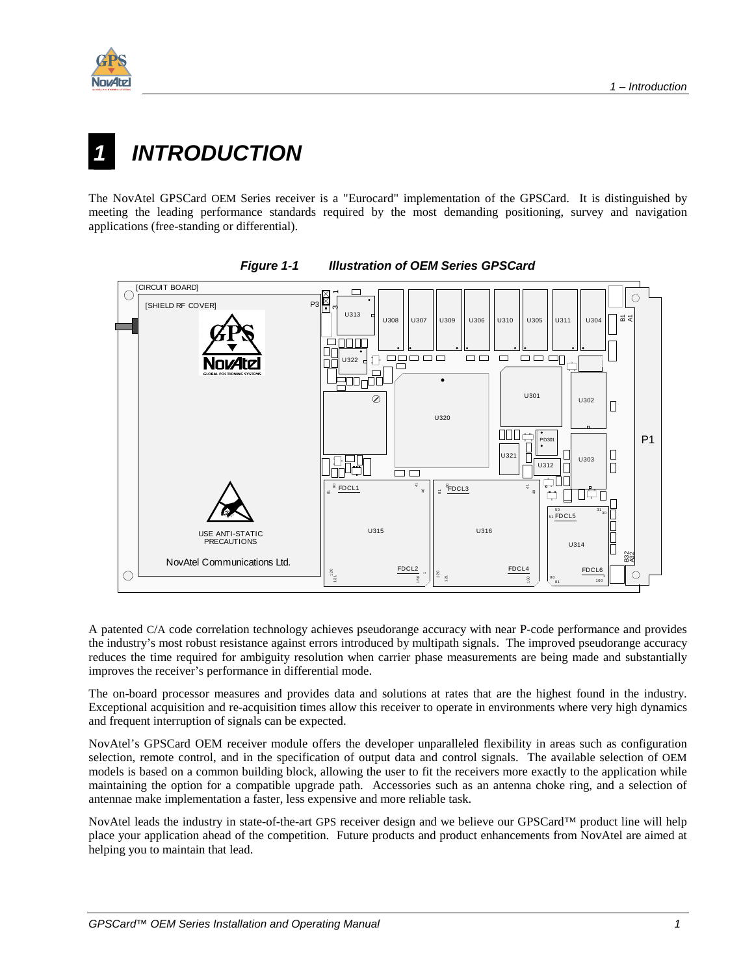<span id="page-8-0"></span>

# **INTRODUCTION**

The NovAtel GPSCard OEM Series receiver is a "Eurocard" implementation of the GPSCard. It is distinguished by meeting the leading performance standards required by the most demanding positioning, survey and navigation applications (free-standing or differential).



*Figure 1-1 Illustration of OEM Series GPSCard* 

A patented C/A code correlation technology achieves pseudorange accuracy with near P-code performance and provides the industry's most robust resistance against errors introduced by multipath signals. The improved pseudorange accuracy reduces the time required for ambiguity resolution when carrier phase measurements are being made and substantially improves the receiver's performance in differential mode.

The on-board processor measures and provides data and solutions at rates that are the highest found in the industry. Exceptional acquisition and re-acquisition times allow this receiver to operate in environments where very high dynamics and frequent interruption of signals can be expected.

NovAtel's GPSCard OEM receiver module offers the developer unparalleled flexibility in areas such as configuration selection, remote control, and in the specification of output data and control signals. The available selection of OEM models is based on a common building block, allowing the user to fit the receivers more exactly to the application while maintaining the option for a compatible upgrade path. Accessories such as an antenna choke ring, and a selection of antennae make implementation a faster, less expensive and more reliable task.

NovAtel leads the industry in state-of-the-art GPS receiver design and we believe our GPSCard™ product line will help place your application ahead of the competition. Future products and product enhancements from NovAtel are aimed at helping you to maintain that lead.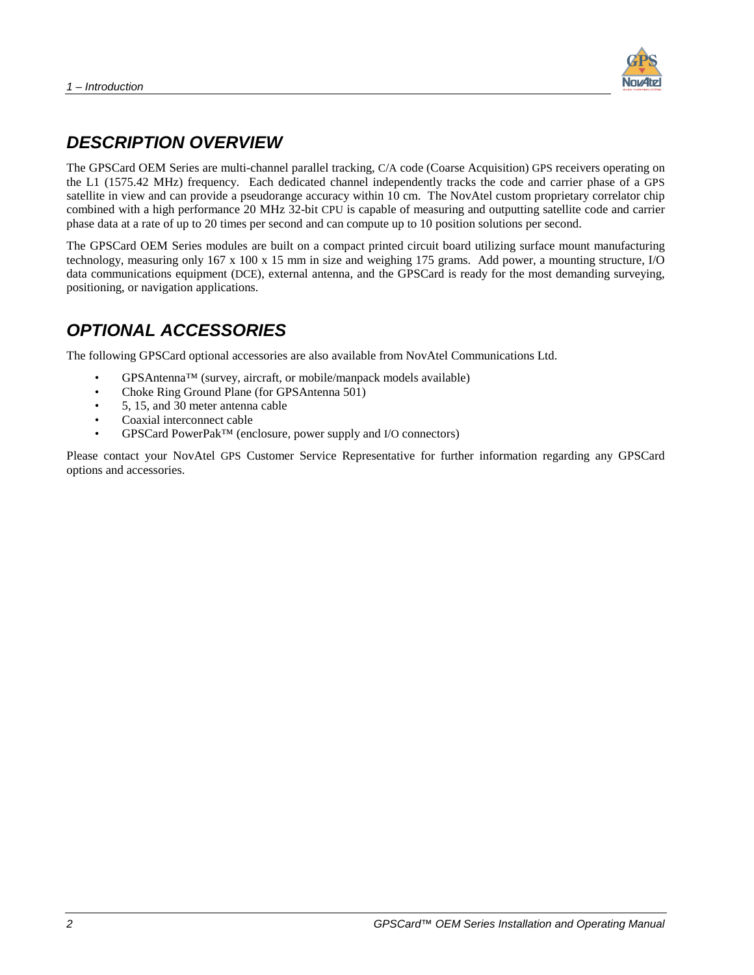

### <span id="page-9-0"></span>*DESCRIPTION OVERVIEW*

The GPSCard OEM Series are multi-channel parallel tracking, C/A code (Coarse Acquisition) GPS receivers operating on the L1 (1575.42 MHz) frequency. Each dedicated channel independently tracks the code and carrier phase of a GPS satellite in view and can provide a pseudorange accuracy within 10 cm. The NovAtel custom proprietary correlator chip combined with a high performance 20 MHz 32-bit CPU is capable of measuring and outputting satellite code and carrier phase data at a rate of up to 20 times per second and can compute up to 10 position solutions per second.

The GPSCard OEM Series modules are built on a compact printed circuit board utilizing surface mount manufacturing technology, measuring only 167 x 100 x 15 mm in size and weighing 175 grams. Add power, a mounting structure, I/O data communications equipment (DCE), external antenna, and the GPSCard is ready for the most demanding surveying, positioning, or navigation applications.

### *OPTIONAL ACCESSORIES*

The following GPSCard optional accessories are also available from NovAtel Communications Ltd.

- GPSAntenna™ (survey, aircraft, or mobile/manpack models available)
- Choke Ring Ground Plane (for GPSAntenna 501)
- 5, 15, and 30 meter antenna cable
- Coaxial interconnect cable
- GPSCard PowerPak™ (enclosure, power supply and I/O connectors)

Please contact your NovAtel GPS Customer Service Representative for further information regarding any GPSCard options and accessories.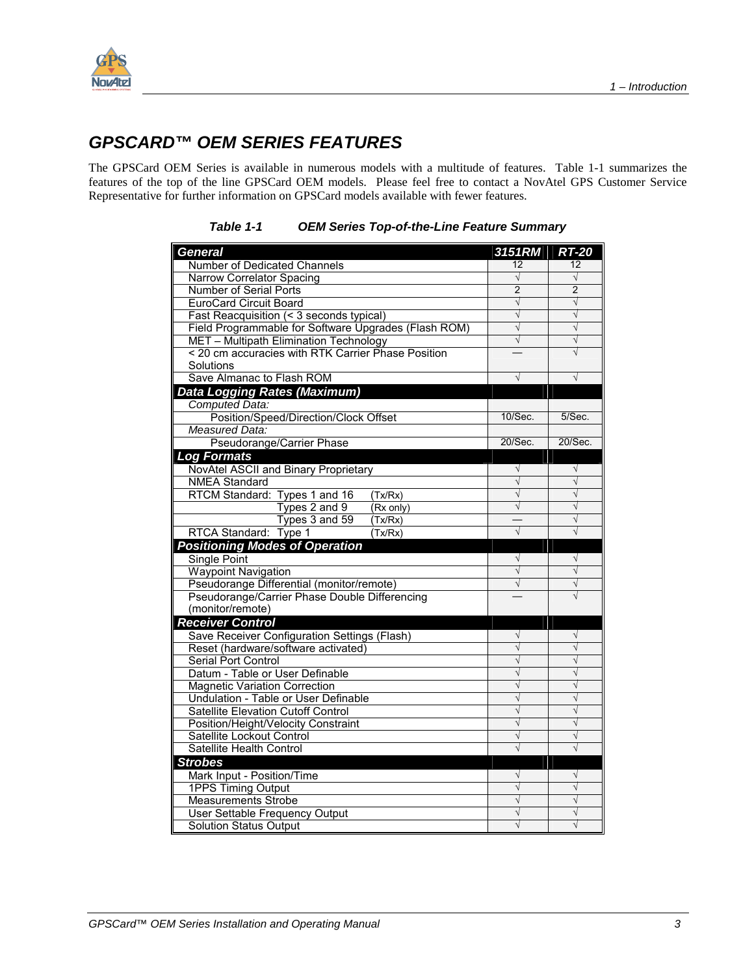<span id="page-10-0"></span>

### *GPSCARD™ OEM SERIES FEATURES*

The GPSCard OEM Series is available in numerous models with a multitude of features. Table 1-1 summarizes the features of the top of the line GPSCard OEM models. Please feel free to contact a NovAtel GPS Customer Service Representative for further information on GPSCard models available with fewer features.

| <b>General</b>                                             | 3151RM         | <b>RT-20</b>   |
|------------------------------------------------------------|----------------|----------------|
| Number of Dedicated Channels                               | 12             | 12             |
| Narrow Correlator Spacing                                  | $\sqrt{}$      | $\sqrt{}$      |
| Number of Serial Ports                                     | $\overline{2}$ | $\overline{2}$ |
| <b>EuroCard Circuit Board</b>                              | $\sqrt{}$      | $\sqrt{ }$     |
| Fast Reacquisition (< 3 seconds typical)                   | $\sqrt{}$      | $\sqrt{}$      |
| Field Programmable for Software Upgrades (Flash ROM)       | $\sqrt{}$      | $\sqrt{}$      |
| MET - Multipath Elimination Technology                     | $\sqrt{}$      | $\sqrt{}$      |
| < 20 cm accuracies with RTK Carrier Phase Position         |                | V              |
| Solutions                                                  |                |                |
| Save Almanac to Flash ROM                                  | $\sqrt{}$      | V              |
| Data Logging Rates (Maximum)                               |                |                |
| Computed Data:                                             |                |                |
| Position/Speed/Direction/Clock Offset                      | 10/Sec.        | 5/Sec.         |
| Measured Data:                                             |                |                |
| Pseudorange/Carrier Phase                                  | 20/Sec.        | 20/Sec.        |
| <b>Log Formats</b>                                         |                |                |
| NovAtel ASCII and Binary Proprietary                       | $\sqrt{}$      | $\sqrt{}$      |
| <b>NMEA Standard</b>                                       | $\sqrt{}$      | $\sqrt{}$      |
| RTCM Standard: Types 1 and 16<br>(Tx/Rx)                   | $\sqrt{}$      | $\sqrt{}$      |
| Types 2 and 9<br>(Rx only)                                 | $\sqrt{}$      | $\sqrt{}$      |
| Types 3 and 59<br>(Tx/Rx)                                  |                | V              |
| (Tx/Rx)<br>RTCA Standard: Type 1                           | $\sqrt{ }$     | $\sqrt{}$      |
| <b>Positioning Modes of Operation</b>                      |                |                |
| Single Point                                               | $\sqrt{ }$     | $\sqrt{}$      |
| <b>Waypoint Navigation</b>                                 | $\sqrt{}$      | $\sqrt{}$      |
| Pseudorange Differential (monitor/remote)                  | $\sqrt{}$      | $\sqrt{}$      |
| Pseudorange/Carrier Phase Double Differencing              |                | $\sqrt{}$      |
| (monitor/remote)                                           |                |                |
| <b>Receiver Control</b>                                    | $\sqrt{}$      | $\sqrt{}$      |
| Save Receiver Configuration Settings (Flash)               |                | $\sqrt{}$      |
| Reset (hardware/software activated)<br>Serial Port Control | $\sqrt{}$      | $\sqrt{}$      |
| Datum - Table or User Definable                            | $\sqrt{}$      | $\sqrt{}$      |
| <b>Magnetic Variation Correction</b>                       | V              | $\sqrt{}$      |
| Undulation - Table or User Definable                       | $\sqrt{}$      | $\sqrt{}$      |
| Satellite Elevation Cutoff Control                         | $\sqrt{}$      | $\sqrt{}$      |
| Position/Height/Velocity Constraint                        | $\sqrt{}$      | $\sqrt{}$      |
| Satellite Lockout Control                                  | V              | $\sqrt{}$      |
| Satellite Health Control                                   | $\sqrt{}$      | $\sqrt{}$      |
| <b>Strobes</b>                                             |                |                |
| Mark Input - Position/Time                                 | $\sqrt{}$      | $\sqrt{}$      |
| 1PPS Timing Output                                         | $\sqrt{}$      | $\sqrt{}$      |
| <b>Measurements Strobe</b>                                 |                | $\sqrt{}$      |
| User Settable Frequency Output                             | $\sqrt{}$      | $\sqrt{}$      |
| <b>Solution Status Output</b>                              | $\sqrt{}$      | $\sqrt{}$      |

*Table 1-1 OEM Series Top-of-the-Line Feature Summary*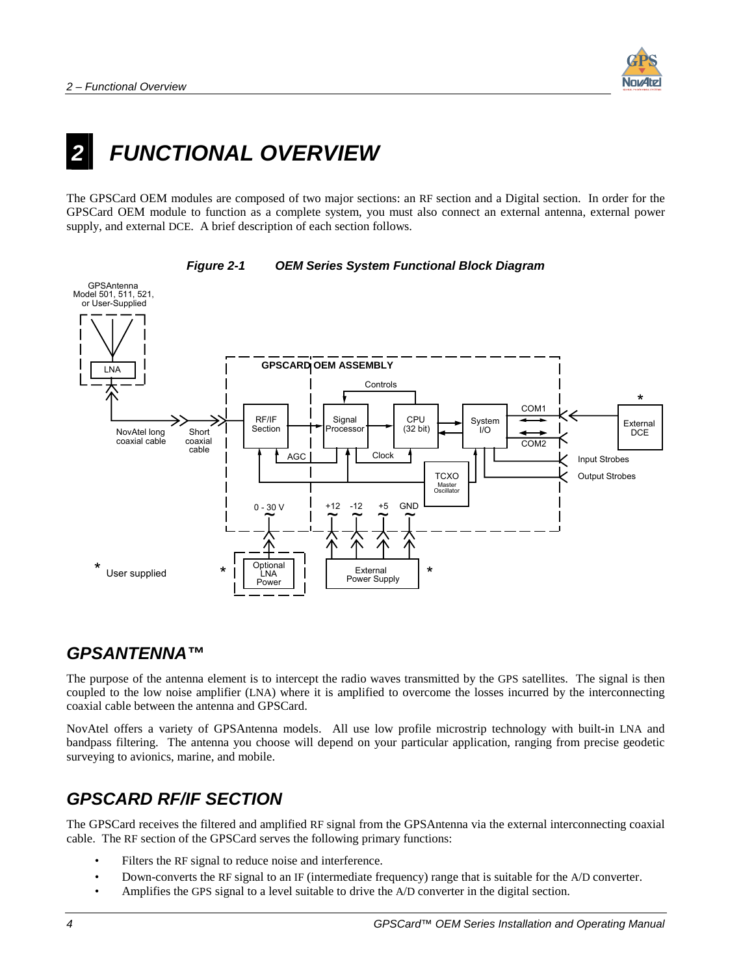

# <span id="page-11-0"></span>**FUNCTIONAL OVERVIEW**

The GPSCard OEM modules are composed of two major sections: an RF section and a Digital section. In order for the GPSCard OEM module to function as a complete system, you must also connect an external antenna, external power supply, and external DCE. A brief description of each section follows.



#### *Figure 2-1 OEM Series System Functional Block Diagram*

### *GPSANTENNA™*

The purpose of the antenna element is to intercept the radio waves transmitted by the GPS satellites. The signal is then coupled to the low noise amplifier (LNA) where it is amplified to overcome the losses incurred by the interconnecting coaxial cable between the antenna and GPSCard.

NovAtel offers a variety of GPSAntenna models. All use low profile microstrip technology with built-in LNA and bandpass filtering. The antenna you choose will depend on your particular application, ranging from precise geodetic surveying to avionics, marine, and mobile.

### *GPSCARD RF/IF SECTION*

The GPSCard receives the filtered and amplified RF signal from the GPSAntenna via the external interconnecting coaxial cable. The RF section of the GPSCard serves the following primary functions:

- Filters the RF signal to reduce noise and interference.
- Down-converts the RF signal to an IF (intermediate frequency) range that is suitable for the A/D converter.
- Amplifies the GPS signal to a level suitable to drive the A/D converter in the digital section.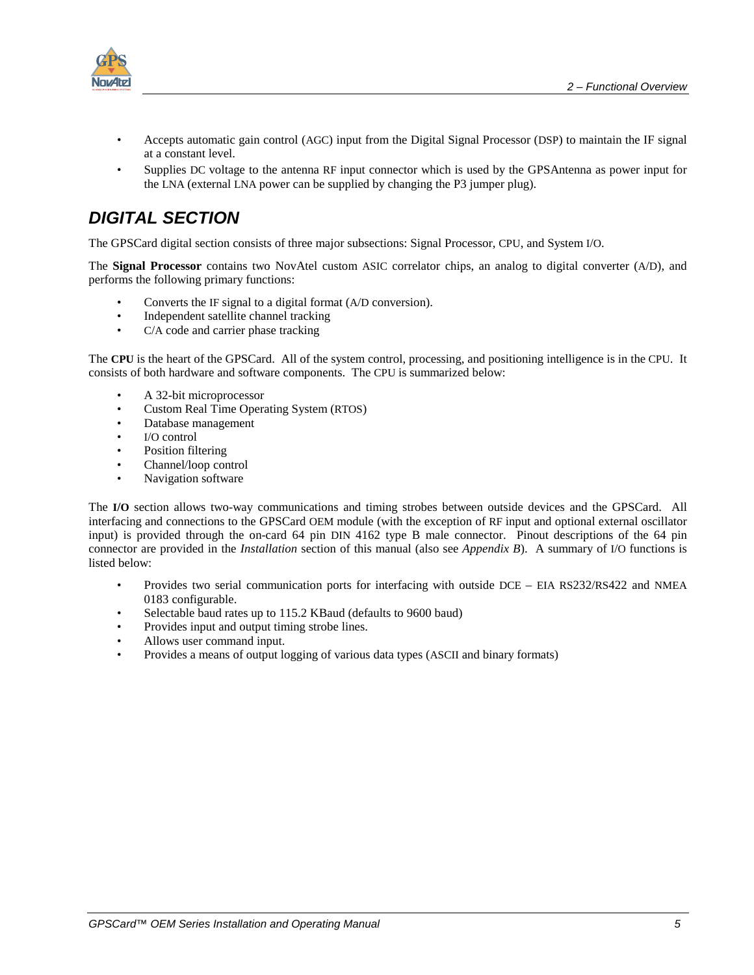<span id="page-12-0"></span>

- Accepts automatic gain control (AGC) input from the Digital Signal Processor (DSP) to maintain the IF signal at a constant level.
- Supplies DC voltage to the antenna RF input connector which is used by the GPSAntenna as power input for the LNA (external LNA power can be supplied by changing the P3 jumper plug).

### *DIGITAL SECTION*

The GPSCard digital section consists of three major subsections: Signal Processor, CPU, and System I/O.

The **Signal Processor** contains two NovAtel custom ASIC correlator chips, an analog to digital converter (A/D), and performs the following primary functions:

- Converts the IF signal to a digital format (A/D conversion).
- Independent satellite channel tracking
- C/A code and carrier phase tracking

The **CPU** is the heart of the GPSCard. All of the system control, processing, and positioning intelligence is in the CPU. It consists of both hardware and software components. The CPU is summarized below:

- A 32-bit microprocessor
- Custom Real Time Operating System (RTOS)
- Database management
- I/O control
- Position filtering
- Channel/loop control
- Navigation software

The **I/O** section allows two-way communications and timing strobes between outside devices and the GPSCard. All interfacing and connections to the GPSCard OEM module (with the exception of RF input and optional external oscillator input) is provided through the on-card 64 pin DIN 4162 type B male connector. Pinout descriptions of the 64 pin connector are provided in the *Installation* section of this manual (also see *Appendix B*). A summary of I/O functions is listed below:

- Provides two serial communication ports for interfacing with outside DCE EIA RS232/RS422 and NMEA 0183 configurable.
- Selectable baud rates up to 115.2 KBaud (defaults to 9600 baud)
- Provides input and output timing strobe lines.
- Allows user command input.
- Provides a means of output logging of various data types (ASCII and binary formats)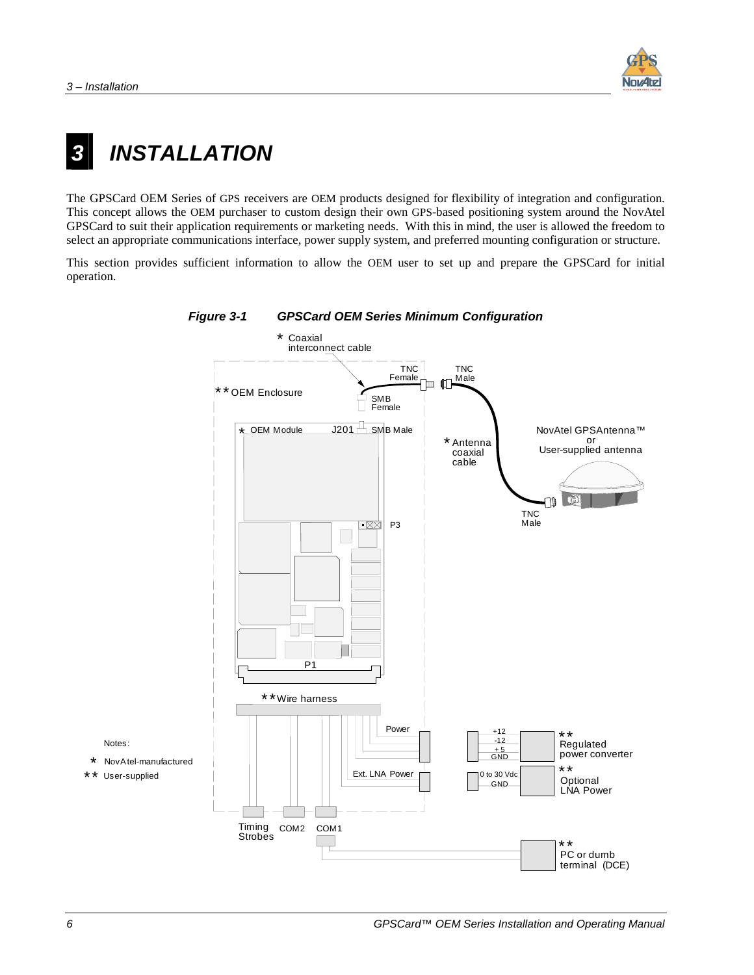

# <span id="page-13-0"></span>*3 INSTALLATION*

The GPSCard OEM Series of GPS receivers are OEM products designed for flexibility of integration and configuration. This concept allows the OEM purchaser to custom design their own GPS-based positioning system around the NovAtel GPSCard to suit their application requirements or marketing needs. With this in mind, the user is allowed the freedom to select an appropriate communications interface, power supply system, and preferred mounting configuration or structure.

This section provides sufficient information to allow the OEM user to set up and prepare the GPSCard for initial operation.



#### *Figure 3-1 GPSCard OEM Series Minimum Configuration*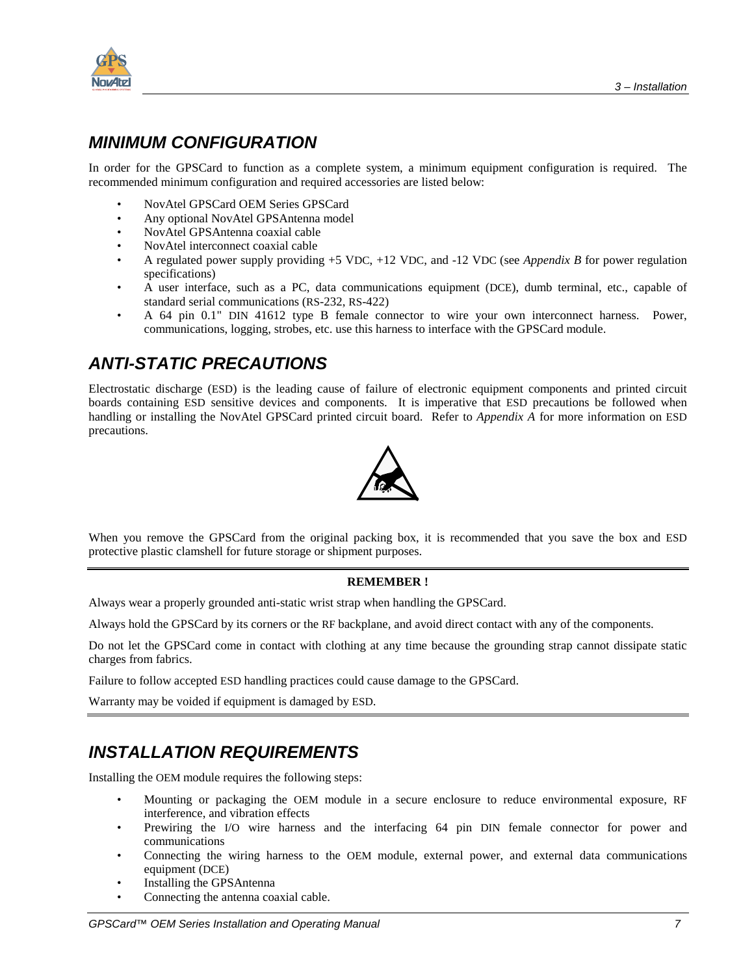<span id="page-14-0"></span>

### *MINIMUM CONFIGURATION*

In order for the GPSCard to function as a complete system, a minimum equipment configuration is required. The recommended minimum configuration and required accessories are listed below:

- NovAtel GPSCard OEM Series GPSCard
- Any optional NovAtel GPSAntenna model
- NovAtel GPSAntenna coaxial cable
- NovAtel interconnect coaxial cable
- A regulated power supply providing +5 VDC, +12 VDC, and -12 VDC (see *Appendix B* for power regulation specifications)
- A user interface, such as a PC, data communications equipment (DCE), dumb terminal, etc., capable of standard serial communications (RS-232, RS-422)
- A 64 pin 0.1" DIN 41612 type B female connector to wire your own interconnect harness. Power, communications, logging, strobes, etc. use this harness to interface with the GPSCard module.

### *ANTI-STATIC PRECAUTIONS*

Electrostatic discharge (ESD) is the leading cause of failure of electronic equipment components and printed circuit boards containing ESD sensitive devices and components. It is imperative that ESD precautions be followed when handling or installing the NovAtel GPSCard printed circuit board. Refer to *Appendix A* for more information on ESD precautions.



When you remove the GPSCard from the original packing box, it is recommended that you save the box and ESD protective plastic clamshell for future storage or shipment purposes.

#### **REMEMBER !**

Always wear a properly grounded anti-static wrist strap when handling the GPSCard.

Always hold the GPSCard by its corners or the RF backplane, and avoid direct contact with any of the components.

Do not let the GPSCard come in contact with clothing at any time because the grounding strap cannot dissipate static charges from fabrics.

Failure to follow accepted ESD handling practices could cause damage to the GPSCard.

Warranty may be voided if equipment is damaged by ESD.

### *INSTALLATION REQUIREMENTS*

Installing the OEM module requires the following steps:

- Mounting or packaging the OEM module in a secure enclosure to reduce environmental exposure, RF interference, and vibration effects
- Prewiring the I/O wire harness and the interfacing 64 pin DIN female connector for power and communications
- Connecting the wiring harness to the OEM module, external power, and external data communications equipment (DCE)
- Installing the GPSAntenna
- Connecting the antenna coaxial cable.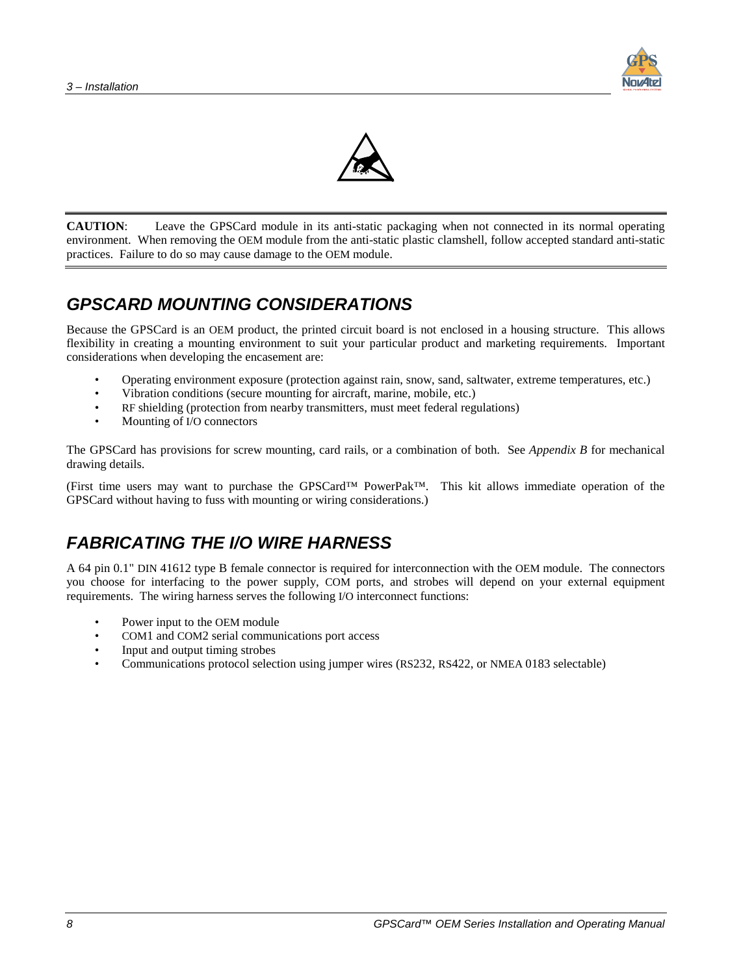



<span id="page-15-0"></span>**CAUTION**: Leave the GPSCard module in its anti-static packaging when not connected in its normal operating environment. When removing the OEM module from the anti-static plastic clamshell, follow accepted standard anti-static practices. Failure to do so may cause damage to the OEM module.

### *GPSCARD MOUNTING CONSIDERATIONS*

Because the GPSCard is an OEM product, the printed circuit board is not enclosed in a housing structure. This allows flexibility in creating a mounting environment to suit your particular product and marketing requirements. Important considerations when developing the encasement are:

- Operating environment exposure (protection against rain, snow, sand, saltwater, extreme temperatures, etc.)
- Vibration conditions (secure mounting for aircraft, marine, mobile, etc.)
- RF shielding (protection from nearby transmitters, must meet federal regulations)
- Mounting of I/O connectors

The GPSCard has provisions for screw mounting, card rails, or a combination of both. See *Appendix B* for mechanical drawing details.

(First time users may want to purchase the GPSCard™ PowerPak™. This kit allows immediate operation of the GPSCard without having to fuss with mounting or wiring considerations.)

### *FABRICATING THE I/O WIRE HARNESS*

A 64 pin 0.1" DIN 41612 type B female connector is required for interconnection with the OEM module. The connectors you choose for interfacing to the power supply, COM ports, and strobes will depend on your external equipment requirements. The wiring harness serves the following I/O interconnect functions:

- Power input to the OEM module
- COM1 and COM2 serial communications port access
- Input and output timing strobes
- Communications protocol selection using jumper wires (RS232, RS422, or NMEA 0183 selectable)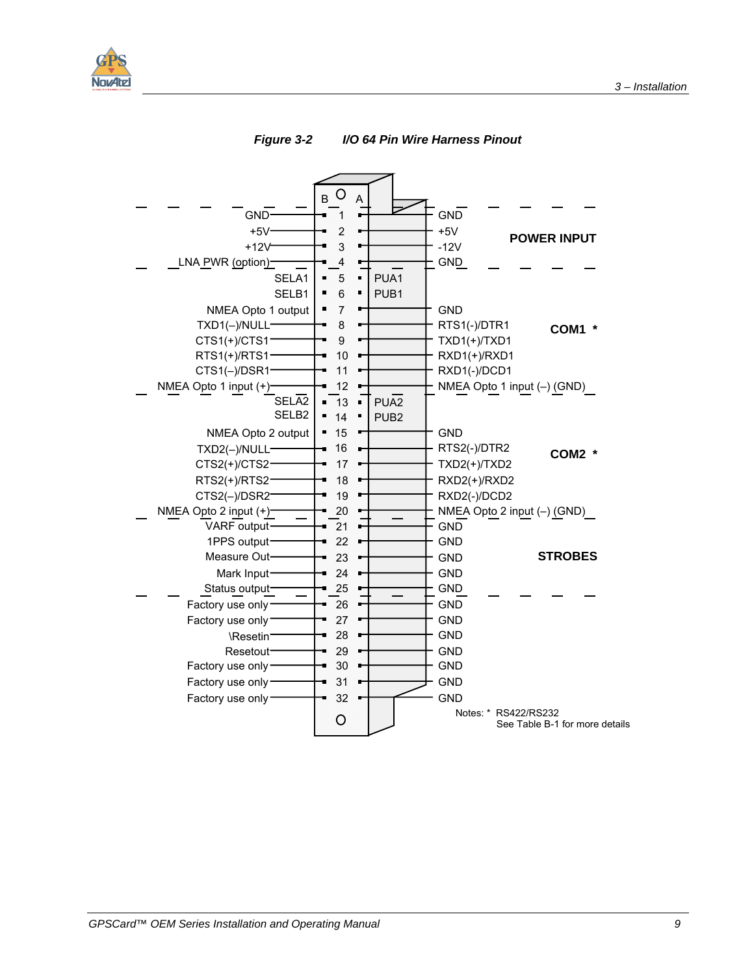<span id="page-16-0"></span>



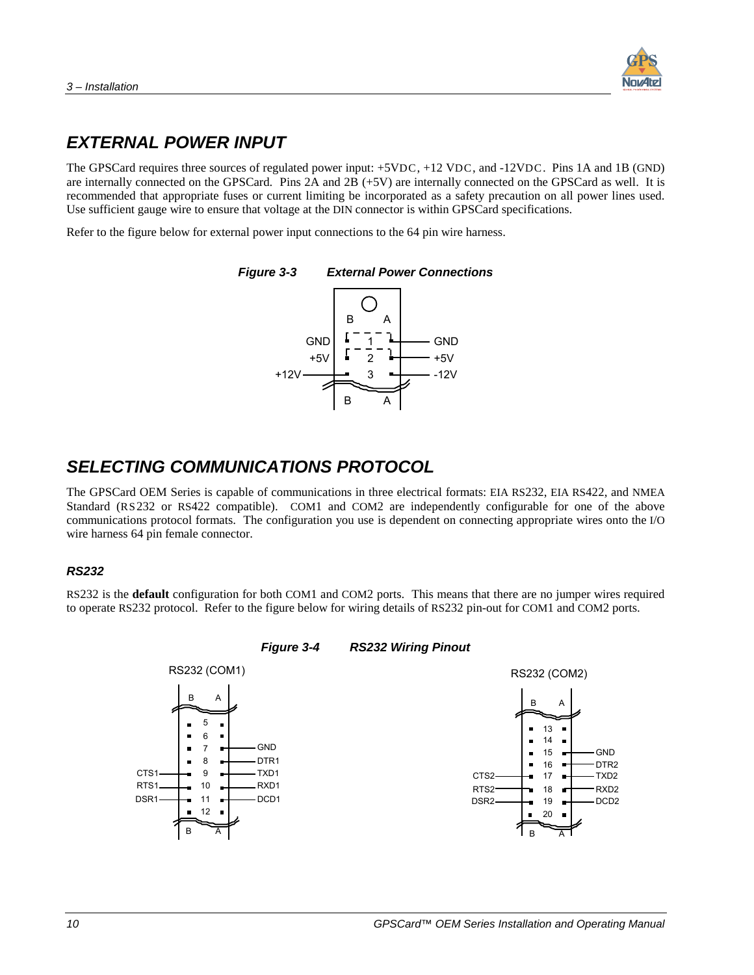

### <span id="page-17-0"></span>*EXTERNAL POWER INPUT*

The GPSCard requires three sources of regulated power input:  $+5VDC$ ,  $+12 VDC$ , and  $-12VDC$ . Pins 1A and 1B (GND) are internally connected on the GPSCard. Pins 2A and 2B (+5V) are internally connected on the GPSCard as well. It is recommended that appropriate fuses or current limiting be incorporated as a safety precaution on all power lines used. Use sufficient gauge wire to ensure that voltage at the DIN connector is within GPSCard specifications.

Refer to the figure below for external power input connections to the 64 pin wire harness.



### *SELECTING COMMUNICATIONS PROTOCOL*

The GPSCard OEM Series is capable of communications in three electrical formats: EIA RS232, EIA RS422, and NMEA Standard (RS232 or RS422 compatible). COM1 and COM2 are independently configurable for one of the above communications protocol formats. The configuration you use is dependent on connecting appropriate wires onto the I/O wire harness 64 pin female connector.

#### *RS232*

RS232 is the **default** configuration for both COM1 and COM2 ports. This means that there are no jumper wires required to operate RS232 protocol. Refer to the figure below for wiring details of RS232 pin-out for COM1 and COM2 ports.

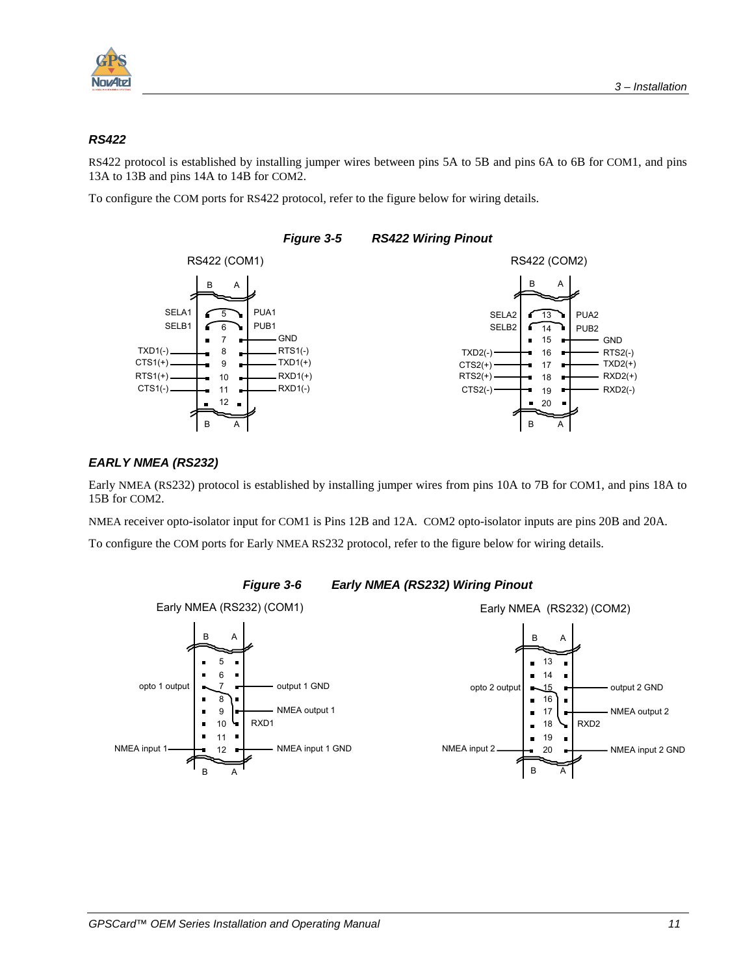<span id="page-18-0"></span>

#### *RS422*

RS422 protocol is established by installing jumper wires between pins 5A to 5B and pins 6A to 6B for COM1, and pins 13A to 13B and pins 14A to 14B for COM2.

To configure the COM ports for RS422 protocol, refer to the figure below for wiring details.



#### *Figure 3-5 RS422 Wiring Pinout*

#### *EARLY NMEA (RS232)*

Early NMEA (RS232) protocol is established by installing jumper wires from pins 10A to 7B for COM1, and pins 18A to 15B for COM2.

NMEA receiver opto-isolator input for COM1 is Pins 12B and 12A. COM2 opto-isolator inputs are pins 20B and 20A.

To configure the COM ports for Early NMEA RS232 protocol, refer to the figure below for wiring details.



#### *Figure 3-6 Early NMEA (RS232) Wiring Pinout*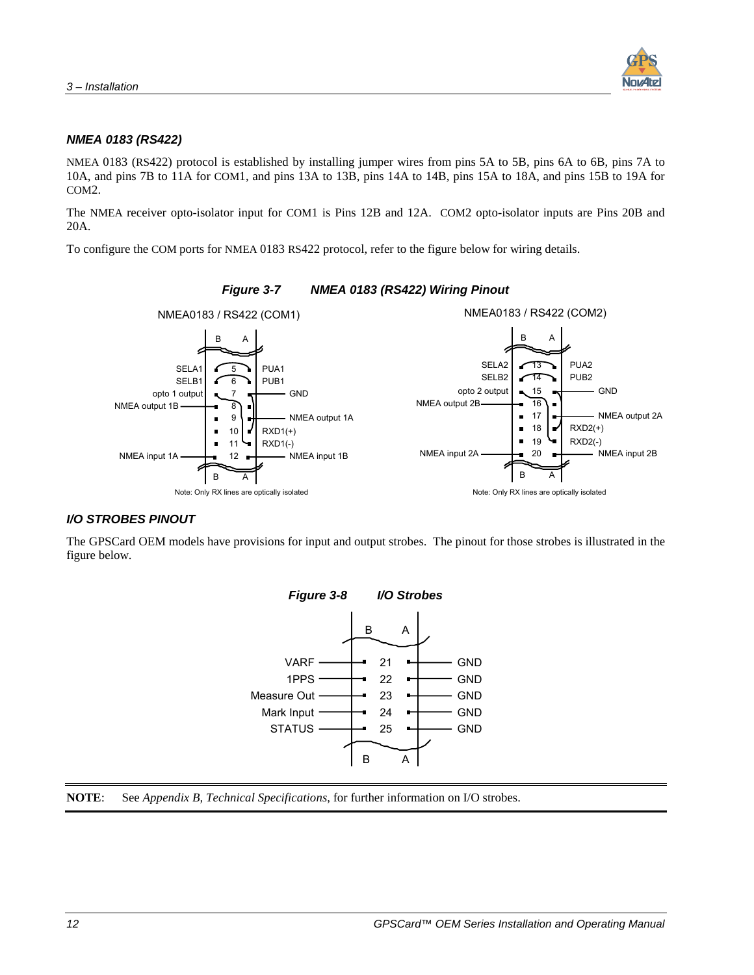

#### <span id="page-19-0"></span>*NMEA 0183 (RS422)*

NMEA 0183 (RS422) protocol is established by installing jumper wires from pins 5A to 5B, pins 6A to 6B, pins 7A to 10A, and pins 7B to 11A for COM1, and pins 13A to 13B, pins 14A to 14B, pins 15A to 18A, and pins 15B to 19A for COM2.

The NMEA receiver opto-isolator input for COM1 is Pins 12B and 12A. COM2 opto-isolator inputs are Pins 20B and 20A.

To configure the COM ports for NMEA 0183 RS422 protocol, refer to the figure below for wiring details.



#### *Figure 3-7 NMEA 0183 (RS422) Wiring Pinout*

#### *I/O STROBES PINOUT*

The GPSCard OEM models have provisions for input and output strobes. The pinout for those strobes is illustrated in the figure below.



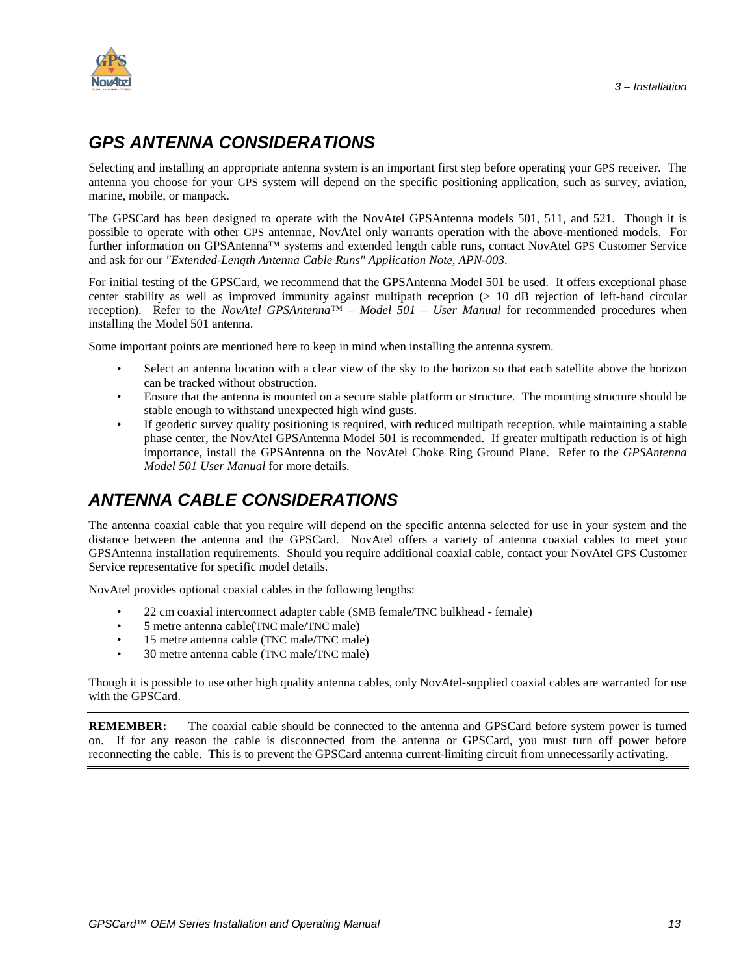<span id="page-20-0"></span>

### *GPS ANTENNA CONSIDERATIONS*

Selecting and installing an appropriate antenna system is an important first step before operating your GPS receiver. The antenna you choose for your GPS system will depend on the specific positioning application, such as survey, aviation, marine, mobile, or manpack.

The GPSCard has been designed to operate with the NovAtel GPSAntenna models 501, 511, and 521. Though it is possible to operate with other GPS antennae, NovAtel only warrants operation with the above-mentioned models. For further information on GPSAntenna™ systems and extended length cable runs, contact NovAtel GPS Customer Service and ask for our *"Extended-Length Antenna Cable Runs" Application Note, APN-003*.

For initial testing of the GPSCard, we recommend that the GPSAntenna Model 501 be used. It offers exceptional phase center stability as well as improved immunity against multipath reception  $(> 10$  dB rejection of left-hand circular reception). Refer to the *NovAtel GPSAntenna™ – Model 501 – User Manual* for recommended procedures when installing the Model 501 antenna.

Some important points are mentioned here to keep in mind when installing the antenna system.

- Select an antenna location with a clear view of the sky to the horizon so that each satellite above the horizon can be tracked without obstruction.
- Ensure that the antenna is mounted on a secure stable platform or structure. The mounting structure should be stable enough to withstand unexpected high wind gusts.
- If geodetic survey quality positioning is required, with reduced multipath reception, while maintaining a stable phase center, the NovAtel GPSAntenna Model 501 is recommended. If greater multipath reduction is of high importance, install the GPSAntenna on the NovAtel Choke Ring Ground Plane. Refer to the *GPSAntenna Model 501 User Manual* for more details.

### *ANTENNA CABLE CONSIDERATIONS*

The antenna coaxial cable that you require will depend on the specific antenna selected for use in your system and the distance between the antenna and the GPSCard. NovAtel offers a variety of antenna coaxial cables to meet your GPSAntenna installation requirements. Should you require additional coaxial cable, contact your NovAtel GPS Customer Service representative for specific model details.

NovAtel provides optional coaxial cables in the following lengths:

- 22 cm coaxial interconnect adapter cable (SMB female/TNC bulkhead female)
- 5 metre antenna cable(TNC male/TNC male)
- 15 metre antenna cable (TNC male/TNC male)
- 30 metre antenna cable (TNC male/TNC male)

Though it is possible to use other high quality antenna cables, only NovAtel-supplied coaxial cables are warranted for use with the GPSCard.

**REMEMBER:** The coaxial cable should be connected to the antenna and GPSCard before system power is turned on. If for any reason the cable is disconnected from the antenna or GPSCard, you must turn off power before reconnecting the cable. This is to prevent the GPSCard antenna current-limiting circuit from unnecessarily activating.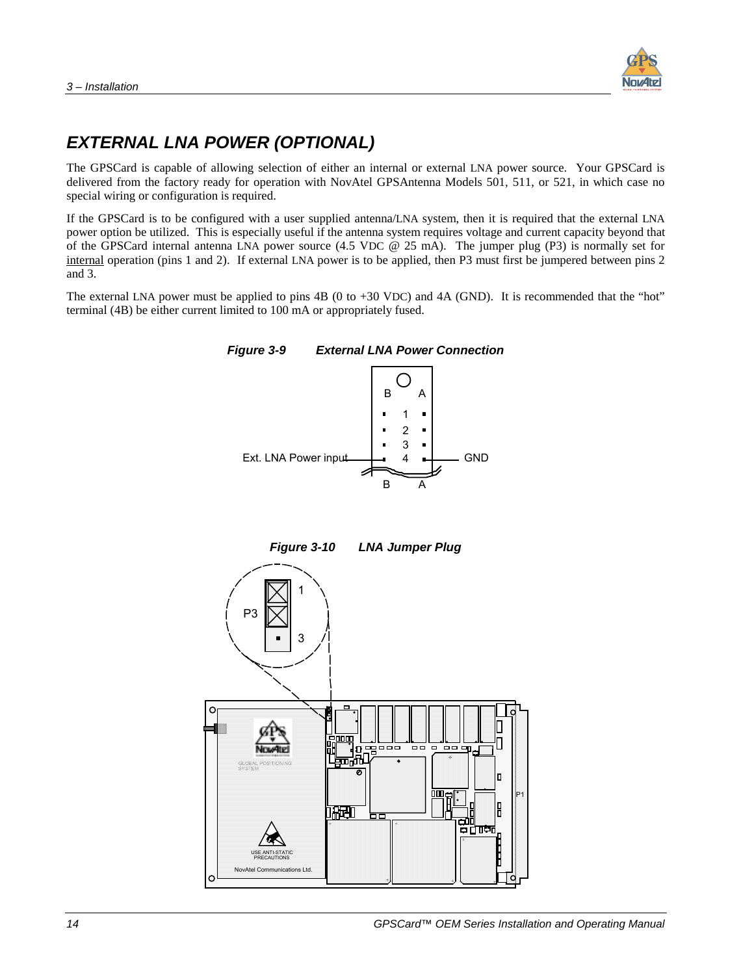

### <span id="page-21-0"></span>*EXTERNAL LNA POWER (OPTIONAL)*

The GPSCard is capable of allowing selection of either an internal or external LNA power source. Your GPSCard is delivered from the factory ready for operation with NovAtel GPSAntenna Models 501, 511, or 521, in which case no special wiring or configuration is required.

If the GPSCard is to be configured with a user supplied antenna/LNA system, then it is required that the external LNA power option be utilized. This is especially useful if the antenna system requires voltage and current capacity beyond that of the GPSCard internal antenna LNA power source (4.5 VDC @ 25 mA). The jumper plug (P3) is normally set for internal operation (pins 1 and 2). If external LNA power is to be applied, then P3 must first be jumpered between pins 2 and 3.

The external LNA power must be applied to pins 4B (0 to +30 VDC) and 4A (GND). It is recommended that the "hot" terminal (4B) be either current limited to 100 mA or appropriately fused.





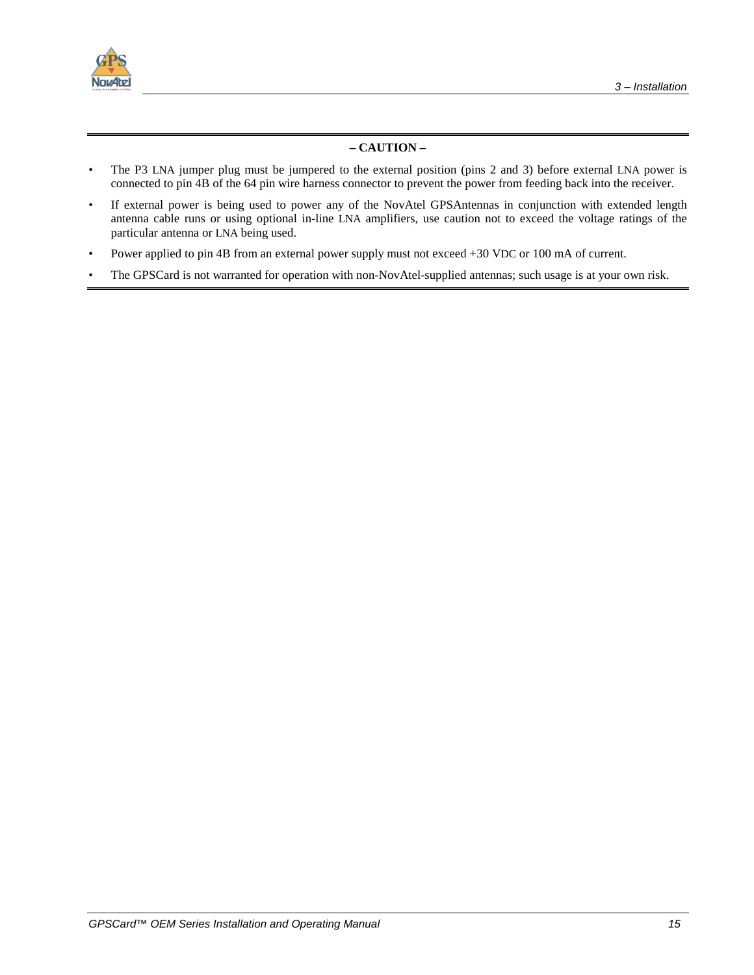

#### **– CAUTION –**

- The P3 LNA jumper plug must be jumpered to the external position (pins 2 and 3) before external LNA power is connected to pin 4B of the 64 pin wire harness connector to prevent the power from feeding back into the receiver.
- If external power is being used to power any of the NovAtel GPSAntennas in conjunction with extended length antenna cable runs or using optional in-line LNA amplifiers, use caution not to exceed the voltage ratings of the particular antenna or LNA being used.
- Power applied to pin 4B from an external power supply must not exceed +30 VDC or 100 mA of current.
- The GPSCard is not warranted for operation with non-NovAtel-supplied antennas; such usage is at your own risk.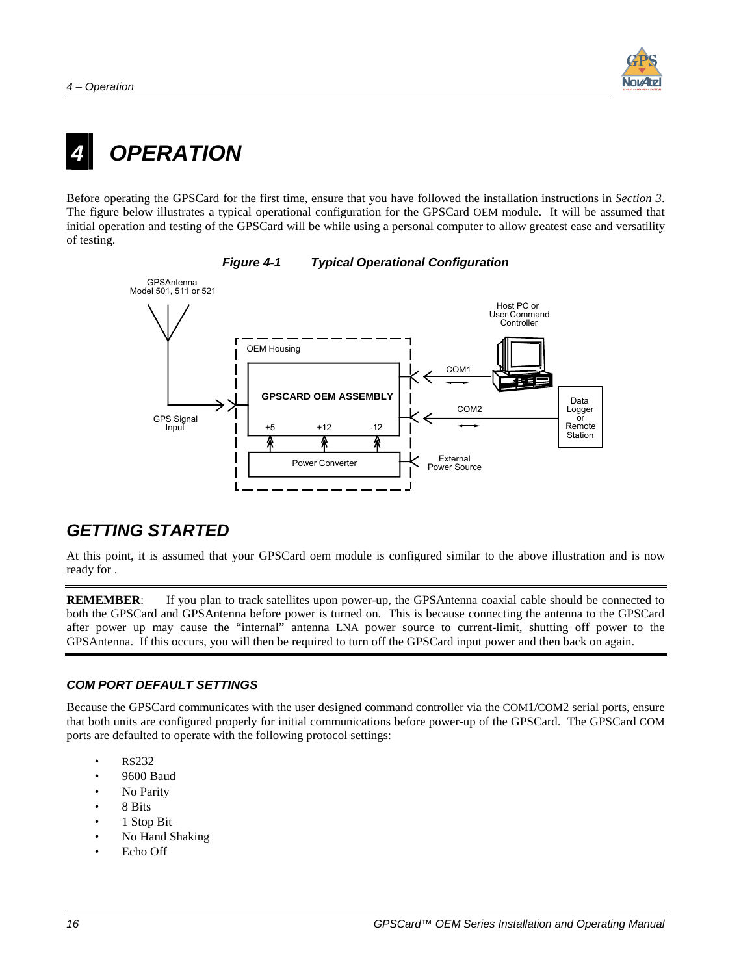

# <span id="page-23-0"></span>*4 OPERATION*

Before operating the GPSCard for the first time, ensure that you have followed the installation instructions in *Section 3*. The figure below illustrates a typical operational configuration for the GPSCard OEM module. It will be assumed that initial operation and testing of the GPSCard will be while using a personal computer to allow greatest ease and versatility of testing.



#### *Figure 4-1 Typical Operational Configuration*

### *GETTING STARTED*

At this point, it is assumed that your GPSCard oem module is configured similar to the above illustration and is now ready for .

**REMEMBER:** If you plan to track satellites upon power-up, the GPSAntenna coaxial cable should be connected to both the GPSCard and GPSAntenna before power is turned on. This is because connecting the antenna to the GPSCard after power up may cause the "internal" antenna LNA power source to current-limit, shutting off power to the GPSAntenna. If this occurs, you will then be required to turn off the GPSCard input power and then back on again.

#### *COM PORT DEFAULT SETTINGS*

Because the GPSCard communicates with the user designed command controller via the COM1/COM2 serial ports, ensure that both units are configured properly for initial communications before power-up of the GPSCard. The GPSCard COM ports are defaulted to operate with the following protocol settings:

- RS232
- 9600 Baud
- No Parity
- 8 Bits
- 1 Stop Bit
- No Hand Shaking
- Echo Off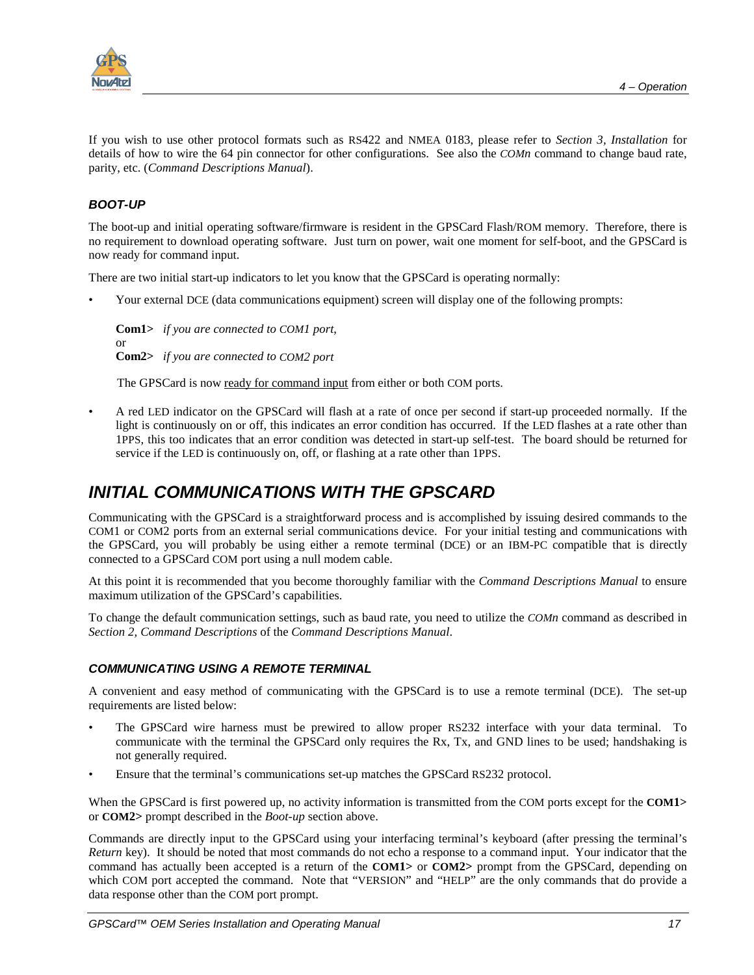<span id="page-24-0"></span>

If you wish to use other protocol formats such as RS422 and NMEA 0183, please refer to *Section 3, Installation* for details of how to wire the 64 pin connector for other configurations. See also the *COMn* command to change baud rate, parity, etc. (*Command Descriptions Manual*).

#### *BOOT-UP*

The boot-up and initial operating software/firmware is resident in the GPSCard Flash/ROM memory. Therefore, there is no requirement to download operating software. Just turn on power, wait one moment for self-boot, and the GPSCard is now ready for command input.

There are two initial start-up indicators to let you know that the GPSCard is operating normally:

• Your external DCE (data communications equipment) screen will display one of the following prompts:

**Com1>** *if you are connected to COM1 port*, or **Com2>** *if you are connected to COM2 port* 

The GPSCard is now ready for command input from either or both COM ports.

• A red LED indicator on the GPSCard will flash at a rate of once per second if start-up proceeded normally. If the light is continuously on or off, this indicates an error condition has occurred. If the LED flashes at a rate other than 1PPS, this too indicates that an error condition was detected in start-up self-test. The board should be returned for service if the LED is continuously on, off, or flashing at a rate other than 1PPS.

### *INITIAL COMMUNICATIONS WITH THE GPSCARD*

Communicating with the GPSCard is a straightforward process and is accomplished by issuing desired commands to the COM1 or COM2 ports from an external serial communications device. For your initial testing and communications with the GPSCard, you will probably be using either a remote terminal (DCE) or an IBM-PC compatible that is directly connected to a GPSCard COM port using a null modem cable.

At this point it is recommended that you become thoroughly familiar with the *Command Descriptions Manual* to ensure maximum utilization of the GPSCard's capabilities.

To change the default communication settings, such as baud rate, you need to utilize the *COMn* command as described in *Section 2, Command Descriptions* of the *Command Descriptions Manual*.

#### *COMMUNICATING USING A REMOTE TERMINAL*

A convenient and easy method of communicating with the GPSCard is to use a remote terminal (DCE). The set-up requirements are listed below:

- The GPSCard wire harness must be prewired to allow proper RS232 interface with your data terminal. To communicate with the terminal the GPSCard only requires the Rx, Tx, and GND lines to be used; handshaking is not generally required.
- Ensure that the terminal's communications set-up matches the GPSCard RS232 protocol.

When the GPSCard is first powered up, no activity information is transmitted from the COM ports except for the **COM1>** or **COM2>** prompt described in the *Boot-up* section above.

Commands are directly input to the GPSCard using your interfacing terminal's keyboard (after pressing the terminal's *Return* key). It should be noted that most commands do not echo a response to a command input. Your indicator that the command has actually been accepted is a return of the **COM1>** or **COM2>** prompt from the GPSCard, depending on which COM port accepted the command. Note that "VERSION" and "HELP" are the only commands that do provide a data response other than the COM port prompt.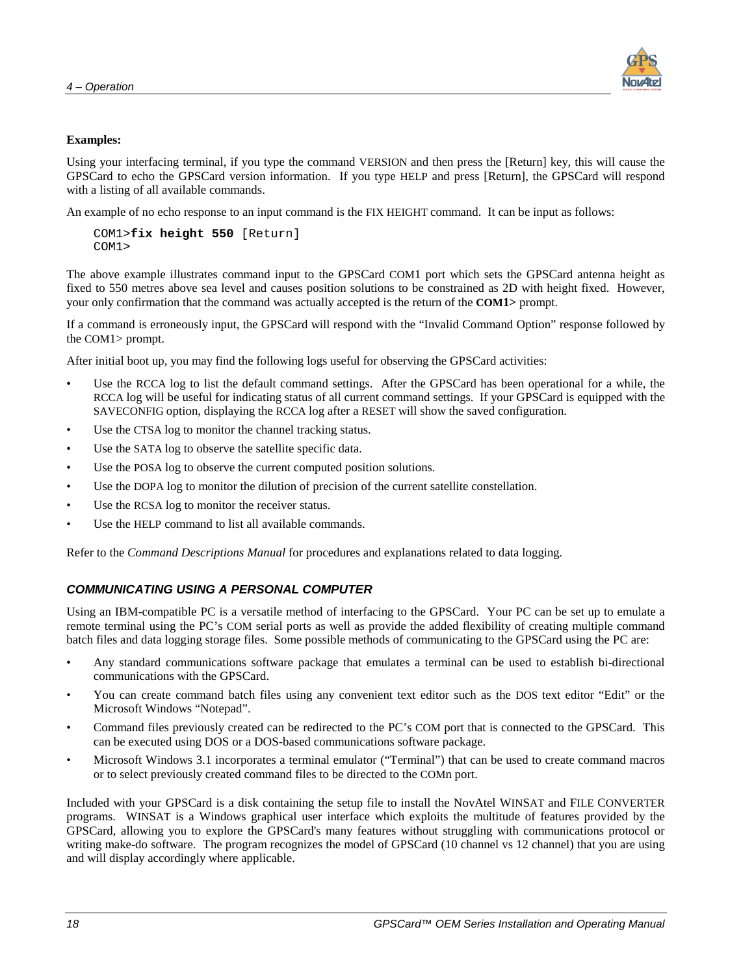

#### <span id="page-25-0"></span>**Examples:**

Using your interfacing terminal, if you type the command VERSION and then press the [Return] key, this will cause the GPSCard to echo the GPSCard version information. If you type HELP and press [Return], the GPSCard will respond with a listing of all available commands.

An example of no echo response to an input command is the FIX HEIGHT command. It can be input as follows:

```
COM1>fix height 550 [Return]
COM1>
```
The above example illustrates command input to the GPSCard COM1 port which sets the GPSCard antenna height as fixed to 550 metres above sea level and causes position solutions to be constrained as 2D with height fixed. However, your only confirmation that the command was actually accepted is the return of the **COM1>** prompt.

If a command is erroneously input, the GPSCard will respond with the "Invalid Command Option" response followed by the COM1> prompt.

After initial boot up, you may find the following logs useful for observing the GPSCard activities:

- Use the RCCA log to list the default command settings. After the GPSCard has been operational for a while, the RCCA log will be useful for indicating status of all current command settings. If your GPSCard is equipped with the SAVECONFIG option, displaying the RCCA log after a RESET will show the saved configuration.
- Use the CTSA log to monitor the channel tracking status.
- Use the SATA log to observe the satellite specific data.
- Use the POSA log to observe the current computed position solutions.
- Use the DOPA log to monitor the dilution of precision of the current satellite constellation.
- Use the RCSA log to monitor the receiver status.
- Use the HELP command to list all available commands.

Refer to the *Command Descriptions Manual* for procedures and explanations related to data logging.

#### *COMMUNICATING USING A PERSONAL COMPUTER*

Using an IBM-compatible PC is a versatile method of interfacing to the GPSCard. Your PC can be set up to emulate a remote terminal using the PC's COM serial ports as well as provide the added flexibility of creating multiple command batch files and data logging storage files. Some possible methods of communicating to the GPSCard using the PC are:

- Any standard communications software package that emulates a terminal can be used to establish bi-directional communications with the GPSCard.
- You can create command batch files using any convenient text editor such as the DOS text editor "Edit" or the Microsoft Windows "Notepad".
- Command files previously created can be redirected to the PC's COM port that is connected to the GPSCard. This can be executed using DOS or a DOS-based communications software package.
- Microsoft Windows 3.1 incorporates a terminal emulator ("Terminal") that can be used to create command macros or to select previously created command files to be directed to the COMn port.

Included with your GPSCard is a disk containing the setup file to install the NovAtel WINSAT and FILE CONVERTER programs. WINSAT is a Windows graphical user interface which exploits the multitude of features provided by the GPSCard, allowing you to explore the GPSCard's many features without struggling with communications protocol or writing make-do software. The program recognizes the model of GPSCard (10 channel vs 12 channel) that you are using and will display accordingly where applicable.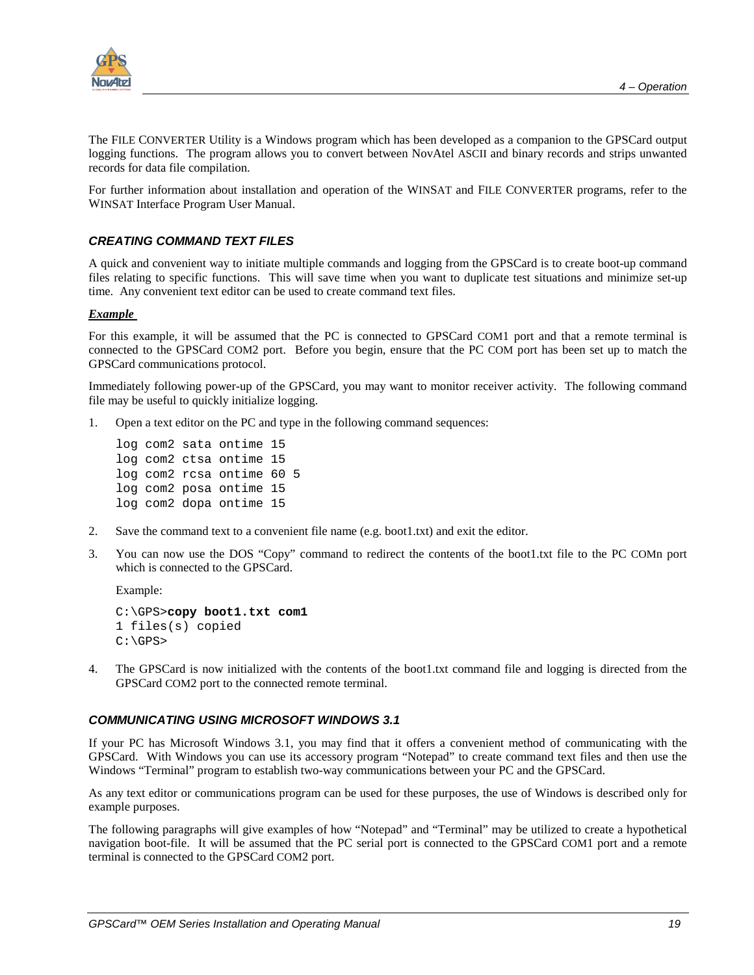<span id="page-26-0"></span>

The FILE CONVERTER Utility is a Windows program which has been developed as a companion to the GPSCard output logging functions. The program allows you to convert between NovAtel ASCII and binary records and strips unwanted records for data file compilation.

For further information about installation and operation of the WINSAT and FILE CONVERTER programs, refer to the WINSAT Interface Program User Manual.

#### *CREATING COMMAND TEXT FILES*

A quick and convenient way to initiate multiple commands and logging from the GPSCard is to create boot-up command files relating to specific functions. This will save time when you want to duplicate test situations and minimize set-up time. Any convenient text editor can be used to create command text files.

#### *Example*

For this example, it will be assumed that the PC is connected to GPSCard COM1 port and that a remote terminal is connected to the GPSCard COM2 port. Before you begin, ensure that the PC COM port has been set up to match the GPSCard communications protocol.

Immediately following power-up of the GPSCard, you may want to monitor receiver activity. The following command file may be useful to quickly initialize logging.

1. Open a text editor on the PC and type in the following command sequences:

```
log com2 sata ontime 15
log com2 ctsa ontime 15
log com2 rcsa ontime 60 5
log com2 posa ontime 15
log com2 dopa ontime 15
```
- 2. Save the command text to a convenient file name (e.g. boot1.txt) and exit the editor.
- 3. You can now use the DOS "Copy" command to redirect the contents of the boot1.txt file to the PC COMn port which is connected to the GPSCard.

Example:

```
C:\GPS>copy boot1.txt com1
1 files(s) copied
C:\GPS>
```
4. The GPSCard is now initialized with the contents of the boot1.txt command file and logging is directed from the GPSCard COM2 port to the connected remote terminal.

#### *COMMUNICATING USING MICROSOFT WINDOWS 3.1*

If your PC has Microsoft Windows 3.1, you may find that it offers a convenient method of communicating with the GPSCard. With Windows you can use its accessory program "Notepad" to create command text files and then use the Windows "Terminal" program to establish two-way communications between your PC and the GPSCard.

As any text editor or communications program can be used for these purposes, the use of Windows is described only for example purposes.

The following paragraphs will give examples of how "Notepad" and "Terminal" may be utilized to create a hypothetical navigation boot-file. It will be assumed that the PC serial port is connected to the GPSCard COM1 port and a remote terminal is connected to the GPSCard COM2 port.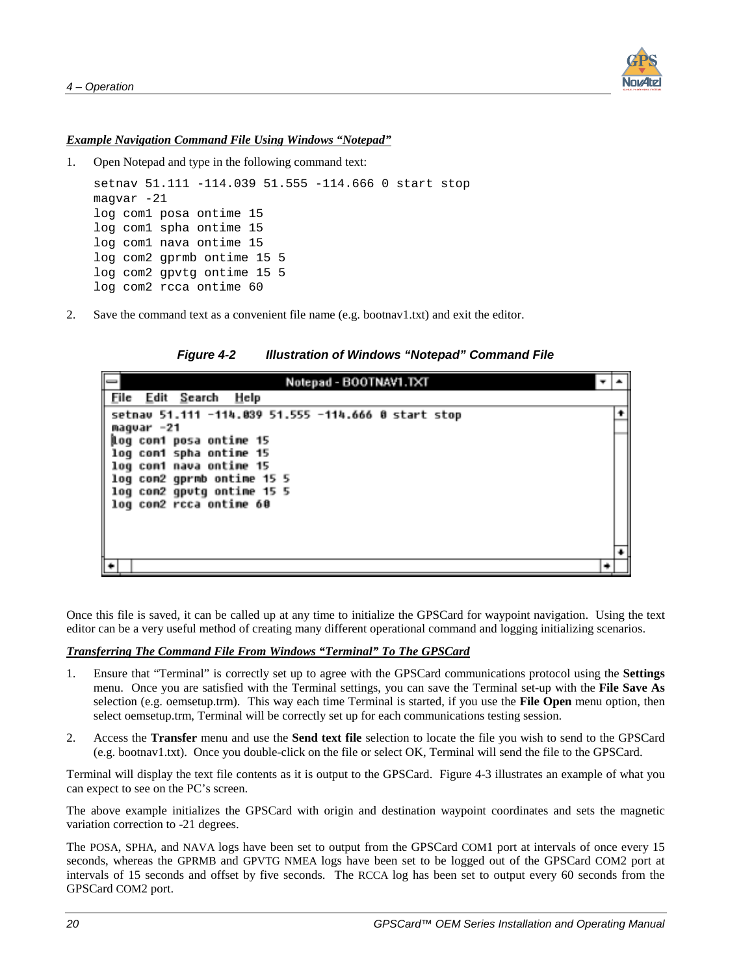

#### <span id="page-27-0"></span>*Example Navigation Command File Using Windows "Notepad"*

1. Open Notepad and type in the following command text:

```
setnav 51.111 -114.039 51.555 -114.666 0 start stop
magvar -21
log com1 posa ontime 15
log com1 spha ontime 15
log com1 nava ontime 15
log com2 gprmb ontime 15 5
log com2 gpvtg ontime 15 5
log com2 rcca ontime 60
```
2. Save the command text as a convenient file name (e.g. bootnav1.txt) and exit the editor.

*Figure 4-2 Illustration of Windows "Notepad" Command File* 

| Notepad - BOOTNAV1.TXT                              |  |
|-----------------------------------------------------|--|
| Eile Edit Search<br>Help                            |  |
| setnav 51.111 -114.039 51.555 -114.666 0 start stop |  |
| maqvar -21                                          |  |
| log com1 posa ontime 15<br>log coni spha ontime 15  |  |
| log con1 nava ontime 15                             |  |
| log com2 gprmb ontime 15 5                          |  |
| log con2 gpvtg ontime 15 5                          |  |
| log com2 rcca ontime 60                             |  |
|                                                     |  |
|                                                     |  |
|                                                     |  |
|                                                     |  |

Once this file is saved, it can be called up at any time to initialize the GPSCard for waypoint navigation. Using the text editor can be a very useful method of creating many different operational command and logging initializing scenarios.

#### *Transferring The Command File From Windows "Terminal" To The GPSCard*

- 1. Ensure that "Terminal" is correctly set up to agree with the GPSCard communications protocol using the **Settings** menu. Once you are satisfied with the Terminal settings, you can save the Terminal set-up with the **File Save As** selection (e.g. oemsetup.trm). This way each time Terminal is started, if you use the **File Open** menu option, then select oemsetup.trm, Terminal will be correctly set up for each communications testing session.
- 2. Access the **Transfer** menu and use the **Send text file** selection to locate the file you wish to send to the GPSCard (e.g. bootnav1.txt). Once you double-click on the file or select OK, Terminal will send the file to the GPSCard.

Terminal will display the text file contents as it is output to the GPSCard. Figure 4-3 illustrates an example of what you can expect to see on the PC's screen.

The above example initializes the GPSCard with origin and destination waypoint coordinates and sets the magnetic variation correction to -21 degrees.

The POSA, SPHA, and NAVA logs have been set to output from the GPSCard COM1 port at intervals of once every 15 seconds, whereas the GPRMB and GPVTG NMEA logs have been set to be logged out of the GPSCard COM2 port at intervals of 15 seconds and offset by five seconds. The RCCA log has been set to output every 60 seconds from the GPSCard COM2 port.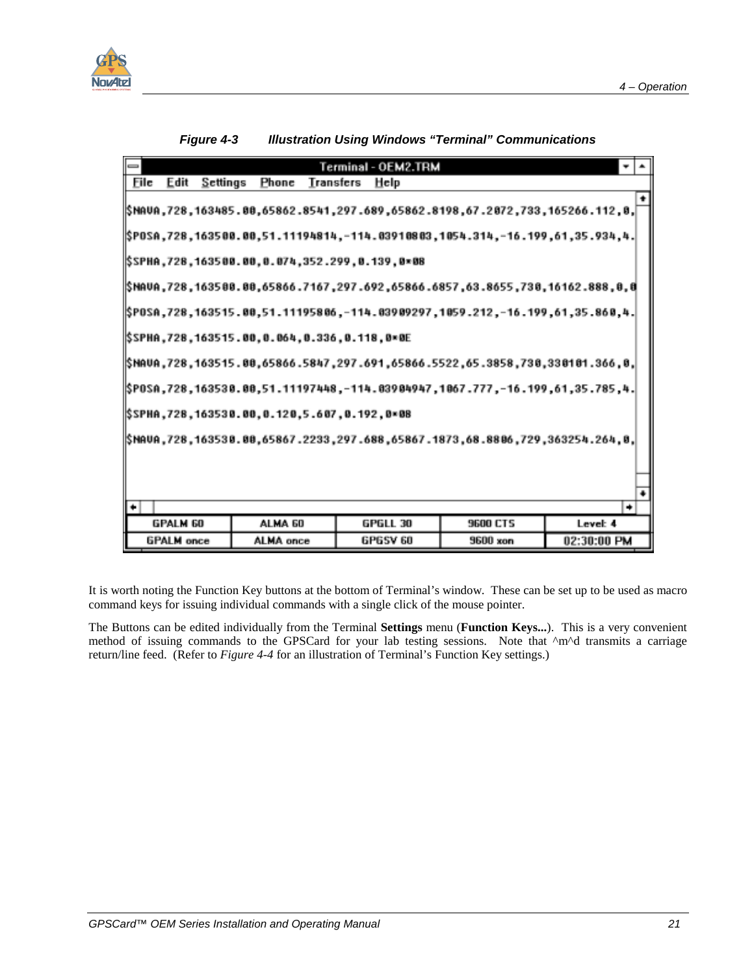<span id="page-28-0"></span>

|      |                   |                                               |           | Terminal - OEM2.TRM |                                                                                                                 |             |   |  |
|------|-------------------|-----------------------------------------------|-----------|---------------------|-----------------------------------------------------------------------------------------------------------------|-------------|---|--|
| Eile | Edit<br>Settings  | Phone                                         | Transfers | Help                |                                                                                                                 |             |   |  |
|      |                   |                                               |           |                     | ],0, 112, 266266, 728, 737, 1652662, 1698-05862, 1698-05841, 1698-058, 1698-169, 1728, 1698                     |             |   |  |
|      |                   |                                               |           |                     | l 4, 4.5. 35. 35. 1728 . 173. 4. 35. 4. 39. 4. 4. 4. 4. 4. 4. 4. 4. 4. 4. 4. 5. 4. 4. 5. 4. 5. 4. 5. 4. 5. 4. 5 |             |   |  |
|      |                   | SPHA,728,163500.00,0.074,352.299,0.139,0×08\; |           |                     |                                                                                                                 |             |   |  |
|      |                   |                                               |           |                     | 9, 888, 16162. 1728, 1897, 888, 692, 1897, 1892, 1892, 1897, 1807, 1808, 1808, 1808, 1898, 1898, 18             |             |   |  |
|      |                   |                                               |           |                     | .4. 90SA ,728 ,163515 . 00 ,51 .11195806 .-114 . 039 09297 ,1059 .212 .-16 .199 .61 .35 .860 .4 .               |             |   |  |
|      |                   | SPHA,728,163515.00,0.064,0.336,0.118,0×0E\;   |           |                     |                                                                                                                 |             |   |  |
|      |                   |                                               |           |                     | ,0, 266. 181838, 239, 2588. 55، 5522, 55866. 97. 97. 97. 5866. 5547, 00 5515. 16351, 728., 1635.)               |             |   |  |
|      |                   |                                               |           |                     | .u. 185.728 .163538.80,51.11197448 .-114.03904947 .1067 .777 .-16.199 .61 .35 .785                              |             |   |  |
|      |                   | 88=8, 103538, 10.120, 120, 10.192, 10.38%;    |           |                     |                                                                                                                 |             |   |  |
|      |                   |                                               |           |                     | ,0, 263254.264, 279, 888.65867. 288, 65867. 288. 297. 288. 297. 288. 16378, 163588. 163588. 163588.             |             |   |  |
|      |                   |                                               |           |                     |                                                                                                                 |             |   |  |
|      |                   |                                               |           |                     |                                                                                                                 |             |   |  |
|      |                   |                                               |           |                     |                                                                                                                 |             | ۰ |  |
|      | <b>GPALM 60</b>   | ALMA <sub>60</sub>                            |           | GPGLL 30            | <b>9600 CTS</b>                                                                                                 | Level: 4    |   |  |
|      | <b>GPALM</b> once | ALMA once                                     |           | GPGSV 60            | 9600 xon                                                                                                        | 02:30:00 PM |   |  |
|      |                   |                                               |           |                     |                                                                                                                 |             |   |  |

*Figure 4-3 Illustration Using Windows "Terminal" Communications* 

It is worth noting the Function Key buttons at the bottom of Terminal's window. These can be set up to be used as macro command keys for issuing individual commands with a single click of the mouse pointer.

The Buttons can be edited individually from the Terminal **Settings** menu (**Function Keys...**). This is a very convenient method of issuing commands to the GPSCard for your lab testing sessions. Note that ^m^d transmits a carriage return/line feed. (Refer to *Figure 4-4* for an illustration of Terminal's Function Key settings.)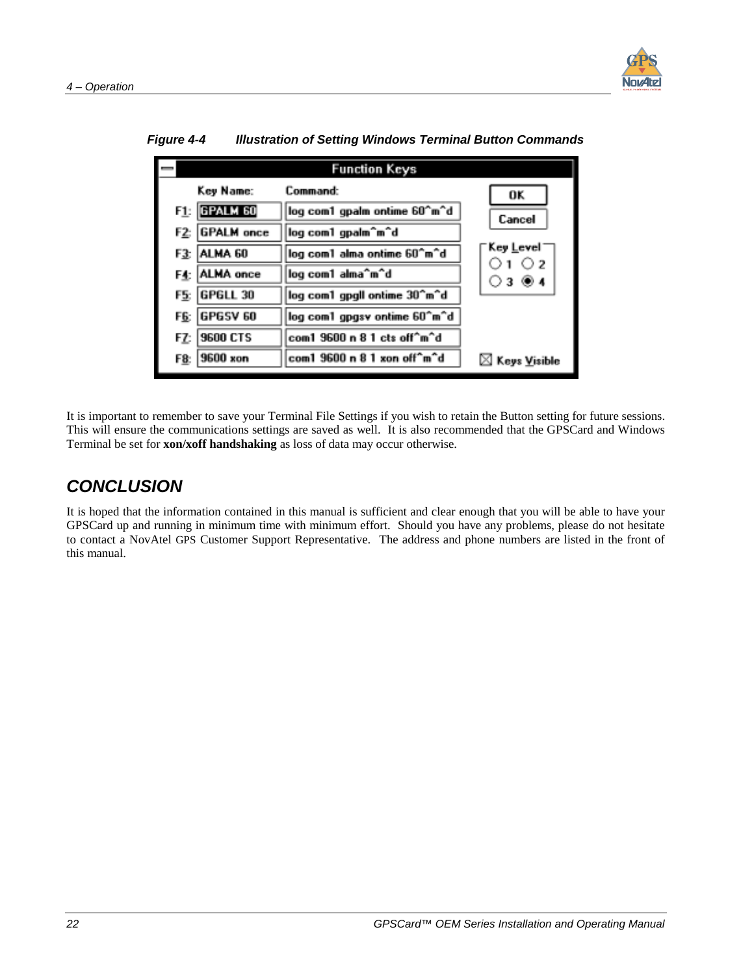

|     |                   | <b>Function Keys</b>         |                                |
|-----|-------------------|------------------------------|--------------------------------|
|     | Key Name:         | Command:                     | OK                             |
|     | FLE GPALM 60      | log com1 gpalm ontime 60^m^d | Cancel                         |
| F2: | <b>GPALM</b> once | log com1 gpalm^m^d           |                                |
|     | F3: ALMA 60       | log com1 alma ontime 60^m^d  | Key <u>L</u> evel<br>$\circ$ 2 |
|     | F4: ALMA once     | log com1 alma^m^d            | ○3 ◉4                          |
| F5: | <b>GPGLL 30</b>   | log com1 gpgll ontime 30^m^d |                                |
|     | F6: GPGSV 60      | log com1 gpgsv ontime 60^m^d |                                |
| FZ: | <b>9600 CTS</b>   | com1 9600 n 8 1 cts off^m^d  |                                |
|     | F8: 9600 xon      | com1 9600 n 8 1 xon off^m^d  | $\boxtimes$ Keys Visible       |

<span id="page-29-0"></span>*Figure 4-4 Illustration of Setting Windows Terminal Button Commands* 

It is important to remember to save your Terminal File Settings if you wish to retain the Button setting for future sessions. This will ensure the communications settings are saved as well. It is also recommended that the GPSCard and Windows Terminal be set for **xon/xoff handshaking** as loss of data may occur otherwise.

### *CONCLUSION*

It is hoped that the information contained in this manual is sufficient and clear enough that you will be able to have your GPSCard up and running in minimum time with minimum effort. Should you have any problems, please do not hesitate to contact a NovAtel GPS Customer Support Representative. The address and phone numbers are listed in the front of this manual.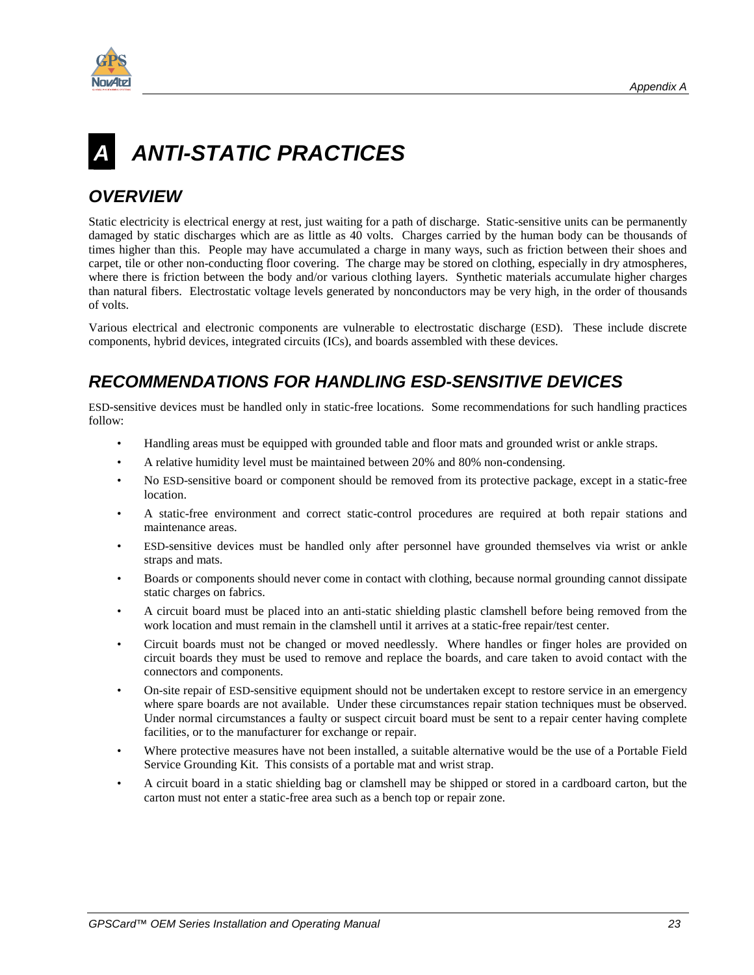<span id="page-30-0"></span>

# *A ANTI-STATIC PRACTICES*

### *OVERVIEW*

Static electricity is electrical energy at rest, just waiting for a path of discharge. Static-sensitive units can be permanently damaged by static discharges which are as little as 40 volts. Charges carried by the human body can be thousands of times higher than this. People may have accumulated a charge in many ways, such as friction between their shoes and carpet, tile or other non-conducting floor covering. The charge may be stored on clothing, especially in dry atmospheres, where there is friction between the body and/or various clothing layers. Synthetic materials accumulate higher charges than natural fibers. Electrostatic voltage levels generated by nonconductors may be very high, in the order of thousands of volts.

Various electrical and electronic components are vulnerable to electrostatic discharge (ESD). These include discrete components, hybrid devices, integrated circuits (ICs), and boards assembled with these devices.

### *RECOMMENDATIONS FOR HANDLING ESD-SENSITIVE DEVICES*

ESD-sensitive devices must be handled only in static-free locations. Some recommendations for such handling practices follow:

- Handling areas must be equipped with grounded table and floor mats and grounded wrist or ankle straps.
- A relative humidity level must be maintained between 20% and 80% non-condensing.
- No ESD-sensitive board or component should be removed from its protective package, except in a static-free location.
- A static-free environment and correct static-control procedures are required at both repair stations and maintenance areas.
- ESD-sensitive devices must be handled only after personnel have grounded themselves via wrist or ankle straps and mats.
- Boards or components should never come in contact with clothing, because normal grounding cannot dissipate static charges on fabrics.
- A circuit board must be placed into an anti-static shielding plastic clamshell before being removed from the work location and must remain in the clamshell until it arrives at a static-free repair/test center.
- Circuit boards must not be changed or moved needlessly. Where handles or finger holes are provided on circuit boards they must be used to remove and replace the boards, and care taken to avoid contact with the connectors and components.
- On-site repair of ESD-sensitive equipment should not be undertaken except to restore service in an emergency where spare boards are not available. Under these circumstances repair station techniques must be observed. Under normal circumstances a faulty or suspect circuit board must be sent to a repair center having complete facilities, or to the manufacturer for exchange or repair.
- Where protective measures have not been installed, a suitable alternative would be the use of a Portable Field Service Grounding Kit. This consists of a portable mat and wrist strap.
- A circuit board in a static shielding bag or clamshell may be shipped or stored in a cardboard carton, but the carton must not enter a static-free area such as a bench top or repair zone.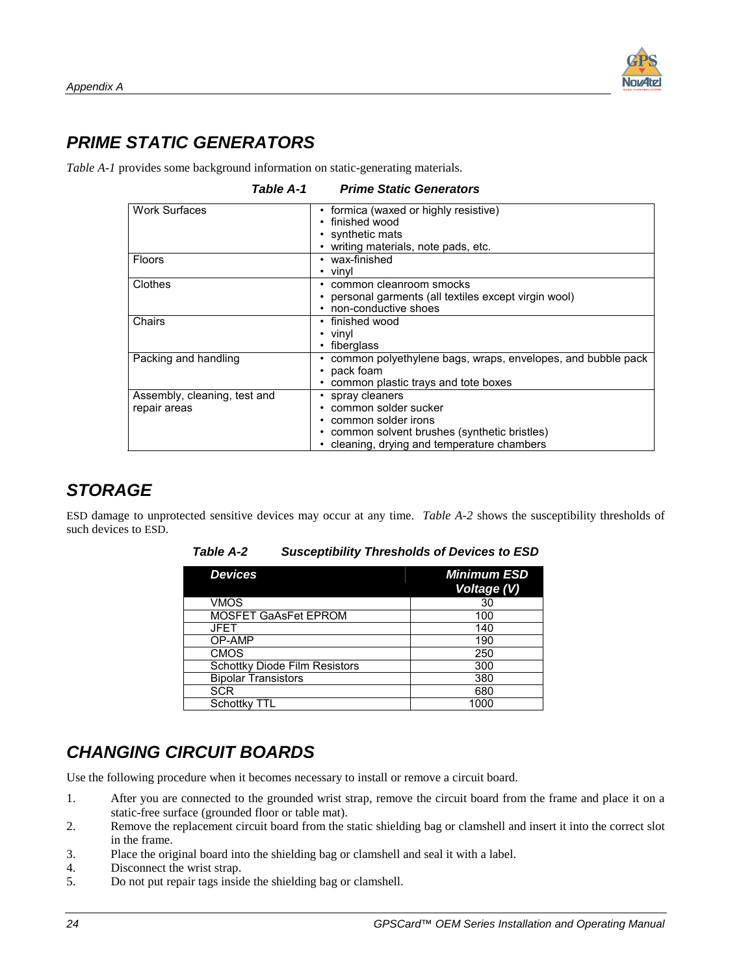### <span id="page-31-0"></span>*PRIME STATIC GENERATORS*

*Table A-1* provides some background information on static-generating materials.

| <b>Table A-1</b>                             | <b>Prime Static Generators</b>                                                                                                                                      |
|----------------------------------------------|---------------------------------------------------------------------------------------------------------------------------------------------------------------------|
| <b>Work Surfaces</b>                         | formica (waxed or highly resistive)<br>٠<br>finished wood<br>٠<br>synthetic mats<br>writing materials, note pads, etc.                                              |
| <b>Floors</b>                                | wax-finished<br>vinvl<br>٠                                                                                                                                          |
| Clothes                                      | common cleanroom smocks<br>٠<br>personal garments (all textiles except virgin wool)<br>non-conductive shoes                                                         |
| Chairs                                       | • finished wood<br>vinyl<br>٠<br>fiberglass                                                                                                                         |
| Packing and handling                         | common polyethylene bags, wraps, envelopes, and bubble pack<br>٠<br>pack foam<br>$\bullet$<br>common plastic trays and tote boxes                                   |
| Assembly, cleaning, test and<br>repair areas | spray cleaners<br>common solder sucker<br>٠<br>common solder irons<br>common solvent brushes (synthetic bristles)<br>٠<br>cleaning, drying and temperature chambers |

### *STORAGE*

ESD damage to unprotected sensitive devices may occur at any time. *Table A-2* shows the susceptibility thresholds of such devices to ESD.

| <b>Devices</b>                       | <b>Minimum ESD</b><br>Voltage (V) |
|--------------------------------------|-----------------------------------|
| VMOS                                 | 30                                |
| <b>MOSFET GaAsFet EPROM</b>          | 100                               |
| <b>JFET</b>                          | 140                               |
| OP-AMP                               | 190                               |
| <b>CMOS</b>                          | 250                               |
| <b>Schottky Diode Film Resistors</b> | 300                               |
| <b>Bipolar Transistors</b>           | 380                               |
| <b>SCR</b>                           | 680                               |
| Schottky TTL                         | 1000                              |

#### *Table A-2 Susceptibility Thresholds of Devices to ESD*

### *CHANGING CIRCUIT BOARDS*

Use the following procedure when it becomes necessary to install or remove a circuit board.

- 1. After you are connected to the grounded wrist strap, remove the circuit board from the frame and place it on a static-free surface (grounded floor or table mat).
- 2. Remove the replacement circuit board from the static shielding bag or clamshell and insert it into the correct slot in the frame.
- 3. Place the original board into the shielding bag or clamshell and seal it with a label.
- 4. Disconnect the wrist strap.
- 5. Do not put repair tags inside the shielding bag or clamshell.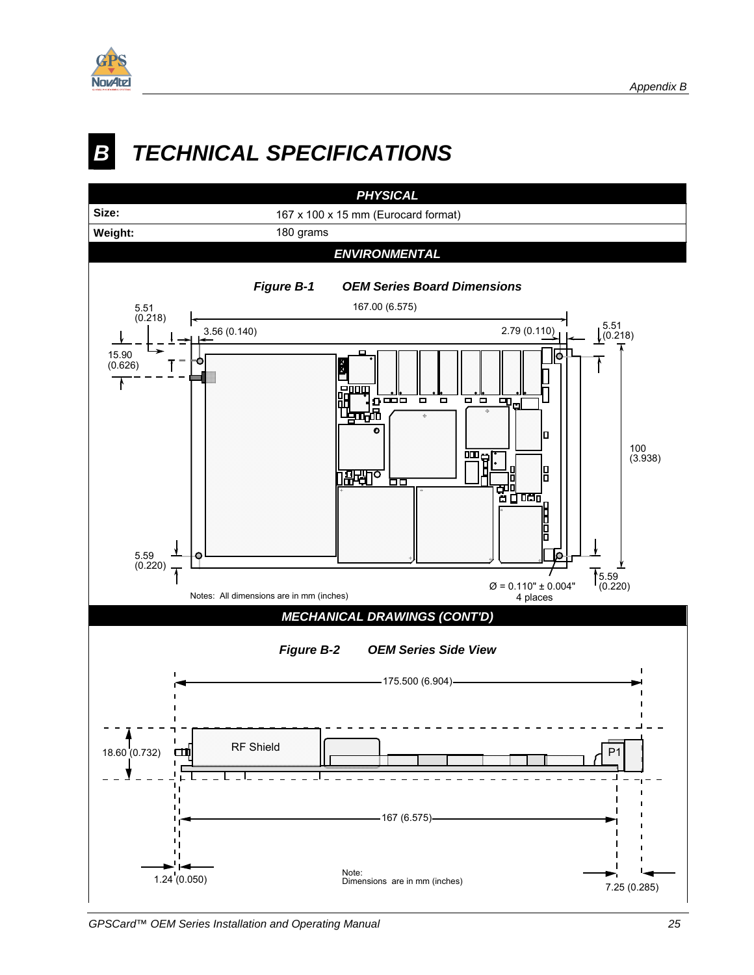<span id="page-32-0"></span>

# *B TECHNICAL SPECIFICATIONS*

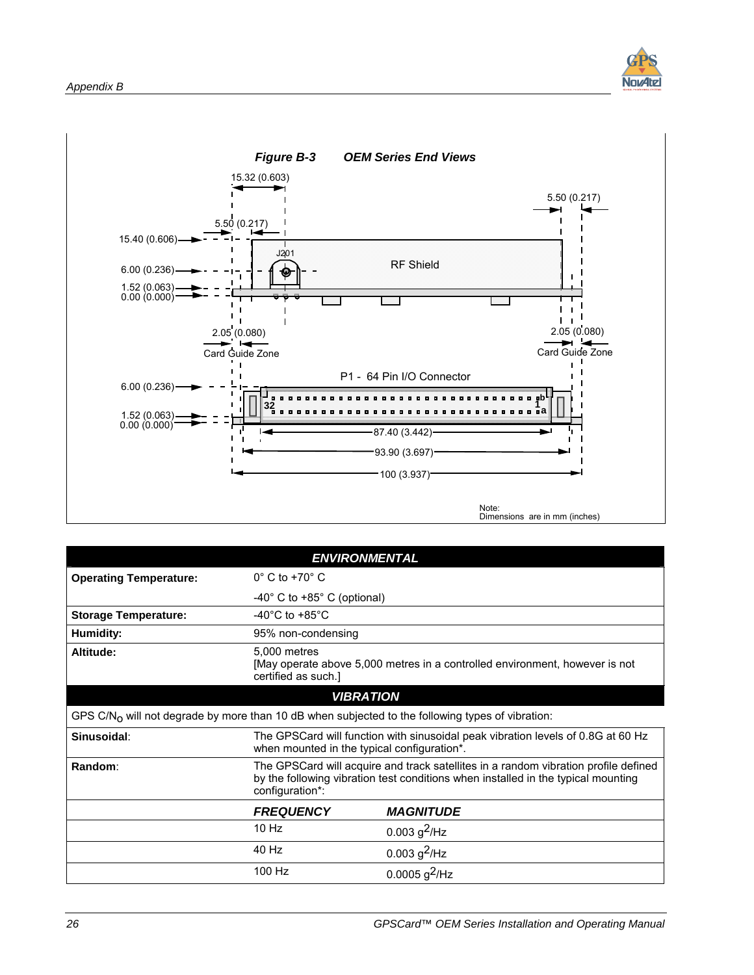

<span id="page-33-0"></span>

|                                                                                                              | <b>ENVIRONMENTAL</b>                                                                                                                                                                        |                  |  |
|--------------------------------------------------------------------------------------------------------------|---------------------------------------------------------------------------------------------------------------------------------------------------------------------------------------------|------------------|--|
| <b>Operating Temperature:</b>                                                                                | $0^{\circ}$ C to +70 $^{\circ}$ C                                                                                                                                                           |                  |  |
|                                                                                                              | -40 $^{\circ}$ C to +85 $^{\circ}$ C (optional)                                                                                                                                             |                  |  |
| <b>Storage Temperature:</b>                                                                                  | $-40^{\circ}$ C to $+85^{\circ}$ C                                                                                                                                                          |                  |  |
| Humidity:                                                                                                    | 95% non-condensing                                                                                                                                                                          |                  |  |
| Altitude:                                                                                                    | 5,000 metres<br>[May operate above 5,000 metres in a controlled environment, however is not<br>certified as such.]                                                                          |                  |  |
|                                                                                                              | <b>VIBRATION</b>                                                                                                                                                                            |                  |  |
| GPS C/N <sub>O</sub> will not degrade by more than 10 dB when subjected to the following types of vibration: |                                                                                                                                                                                             |                  |  |
| Sinusoidal:                                                                                                  | The GPSCard will function with sinusoidal peak vibration levels of 0.8G at 60 Hz<br>when mounted in the typical configuration*.                                                             |                  |  |
| Random:                                                                                                      | The GPSCard will acquire and track satellites in a random vibration profile defined<br>by the following vibration test conditions when installed in the typical mounting<br>configuration*: |                  |  |
|                                                                                                              | <b>FREQUENCY</b>                                                                                                                                                                            | <b>MAGNITUDE</b> |  |
|                                                                                                              | 10 Hz                                                                                                                                                                                       | 0.003 $g^2$ /Hz  |  |
|                                                                                                              | 40 Hz                                                                                                                                                                                       | 0.003 $g^2$ /Hz  |  |
|                                                                                                              | 100 Hz                                                                                                                                                                                      | 0.0005 $g^2$ /Hz |  |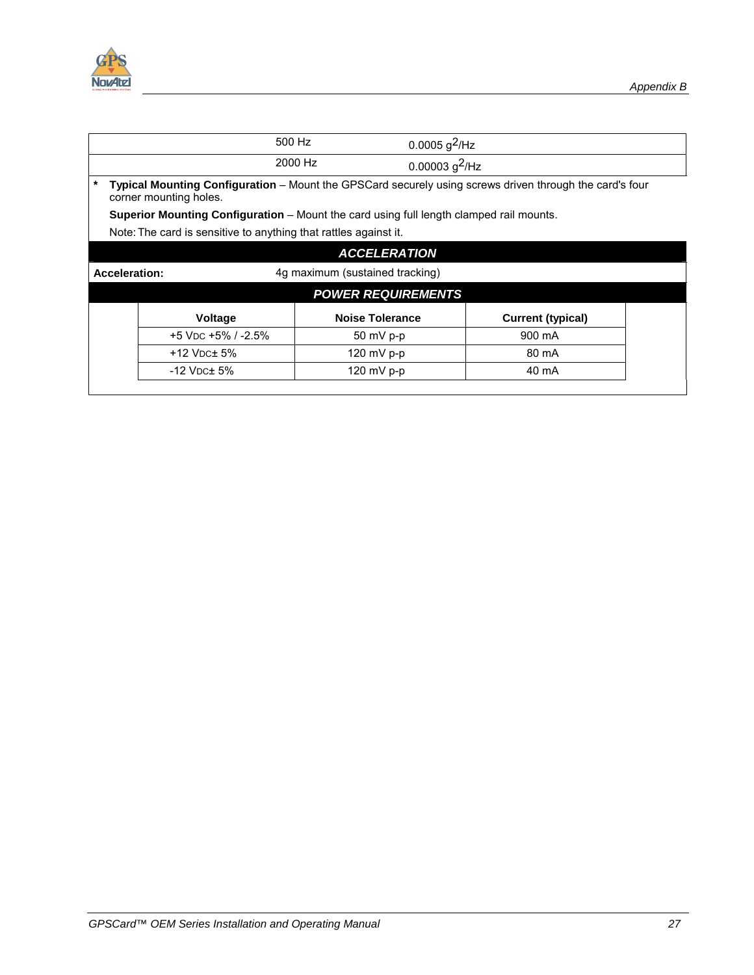



|                                                                                                                                   |                                                                                                | 500 Hz                    | $0.0005$ g <sup>2</sup> /Hz |  |
|-----------------------------------------------------------------------------------------------------------------------------------|------------------------------------------------------------------------------------------------|---------------------------|-----------------------------|--|
|                                                                                                                                   |                                                                                                | 2000 Hz                   | 0.00003 $g^2$ /Hz           |  |
| Typical Mounting Configuration - Mount the GPSCard securely using screws driven through the card's four<br>corner mounting holes. |                                                                                                |                           |                             |  |
|                                                                                                                                   | <b>Superior Mounting Configuration</b> – Mount the card using full length clamped rail mounts. |                           |                             |  |
|                                                                                                                                   | Note: The card is sensitive to anything that rattles against it.                               |                           |                             |  |
|                                                                                                                                   |                                                                                                | <b>ACCELERATION</b>       |                             |  |
| 4g maximum (sustained tracking)<br><b>Acceleration:</b>                                                                           |                                                                                                |                           |                             |  |
|                                                                                                                                   |                                                                                                | <b>POWER REQUIREMENTS</b> |                             |  |
|                                                                                                                                   | Voltage                                                                                        | <b>Noise Tolerance</b>    | <b>Current (typical)</b>    |  |
|                                                                                                                                   | $+5$ V <sub>DC</sub> $+5\%$ / $-2.5\%$                                                         | $50 \text{ mV}$ p-p       | 900 mA                      |  |
|                                                                                                                                   | $+12$ V <sub>DC</sub> $\pm$ 5%                                                                 | 120 mV $p-p$              | 80 mA                       |  |
|                                                                                                                                   | $-12$ V <sub>DC</sub> $\pm$ 5%                                                                 | 120 mV $p-p$              | 40 mA                       |  |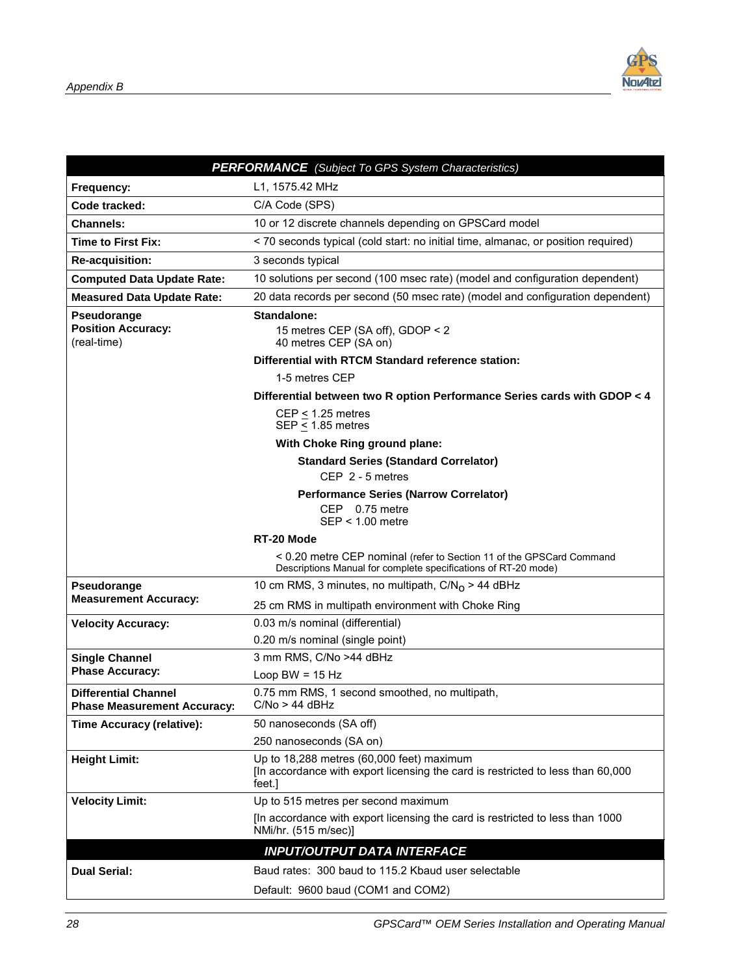

|                                                                   | <b>PERFORMANCE</b> (Subject To GPS System Characteristics)                                                                             |
|-------------------------------------------------------------------|----------------------------------------------------------------------------------------------------------------------------------------|
| Frequency:                                                        | L1, 1575.42 MHz                                                                                                                        |
| Code tracked:                                                     | C/A Code (SPS)                                                                                                                         |
| <b>Channels:</b>                                                  | 10 or 12 discrete channels depending on GPSCard model                                                                                  |
| <b>Time to First Fix:</b>                                         | < 70 seconds typical (cold start: no initial time, almanac, or position required)                                                      |
| <b>Re-acquisition:</b>                                            | 3 seconds typical                                                                                                                      |
| <b>Computed Data Update Rate:</b>                                 | 10 solutions per second (100 msec rate) (model and configuration dependent)                                                            |
| <b>Measured Data Update Rate:</b>                                 | 20 data records per second (50 msec rate) (model and configuration dependent)                                                          |
| Pseudorange<br><b>Position Accuracy:</b><br>(real-time)           | <b>Standalone:</b><br>15 metres CEP (SA off), GDOP < 2<br>40 metres CEP (SA on)                                                        |
|                                                                   | Differential with RTCM Standard reference station:                                                                                     |
|                                                                   | 1-5 metres CEP                                                                                                                         |
|                                                                   | Differential between two R option Performance Series cards with GDOP < 4                                                               |
|                                                                   | $CEP < 1.25$ metres<br>SEP $\leq$ 1.85 metres                                                                                          |
|                                                                   | With Choke Ring ground plane:                                                                                                          |
|                                                                   | <b>Standard Series (Standard Correlator)</b>                                                                                           |
|                                                                   | CEP 2 - 5 metres                                                                                                                       |
|                                                                   | <b>Performance Series (Narrow Correlator)</b><br>CEP 0.75 metre<br>$SEP < 1.00$ metre                                                  |
|                                                                   |                                                                                                                                        |
|                                                                   | RT-20 Mode                                                                                                                             |
|                                                                   | < 0.20 metre CEP nominal (refer to Section 11 of the GPSCard Command<br>Descriptions Manual for complete specifications of RT-20 mode) |
| Pseudorange                                                       | 10 cm RMS, 3 minutes, no multipath, $C/N_0 > 44$ dBHz                                                                                  |
| <b>Measurement Accuracy:</b>                                      | 25 cm RMS in multipath environment with Choke Ring                                                                                     |
| <b>Velocity Accuracy:</b>                                         | 0.03 m/s nominal (differential)                                                                                                        |
|                                                                   | 0.20 m/s nominal (single point)                                                                                                        |
| <b>Single Channel</b>                                             | 3 mm RMS, C/No >44 dBHz                                                                                                                |
| <b>Phase Accuracy:</b>                                            | Loop BW = $15$ Hz                                                                                                                      |
| <b>Differential Channel</b><br><b>Phase Measurement Accuracy:</b> | 0.75 mm RMS, 1 second smoothed, no multipath,<br>$C/No > 44$ dBHz                                                                      |
| Time Accuracy (relative):                                         | 50 nanoseconds (SA off)                                                                                                                |
|                                                                   | 250 nanoseconds (SA on)                                                                                                                |
| <b>Height Limit:</b>                                              | Up to 18,288 metres (60,000 feet) maximum<br>[In accordance with export licensing the card is restricted to less than 60,000<br>feet.] |
| <b>Velocity Limit:</b>                                            | Up to 515 metres per second maximum                                                                                                    |
|                                                                   | [In accordance with export licensing the card is restricted to less than 1000<br>NMi/hr. (515 m/sec)]                                  |
|                                                                   | <b>INPUT/OUTPUT DATA INTERFACE</b>                                                                                                     |
| <b>Dual Serial:</b>                                               | Baud rates: 300 baud to 115.2 Kbaud user selectable                                                                                    |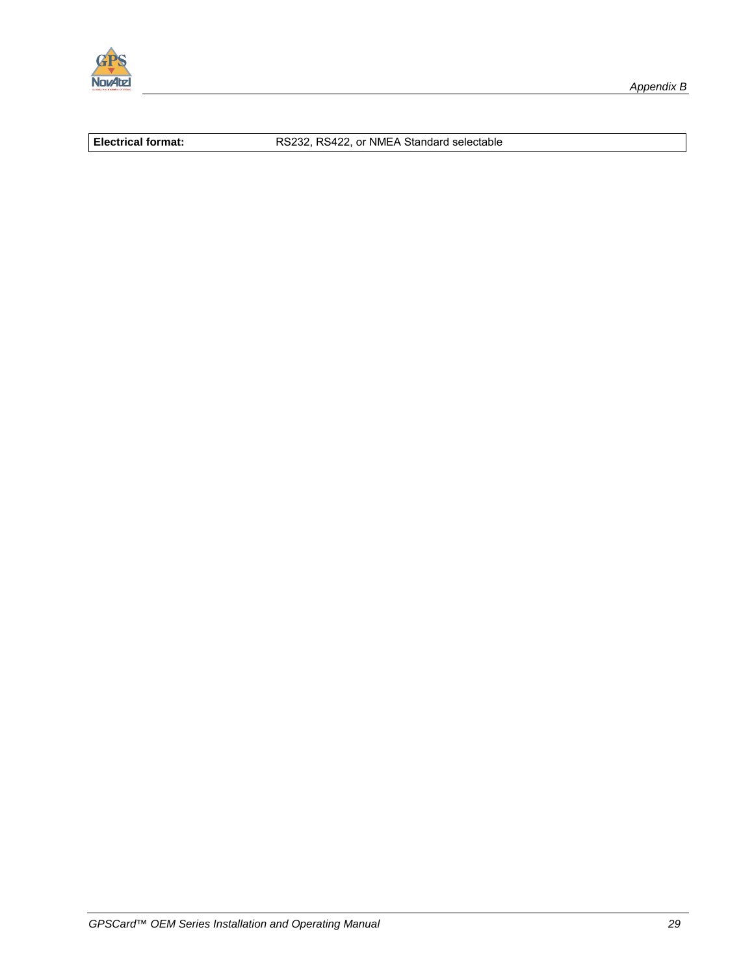

**Electrical format:** RS232, RS422, or NMEA Standard selectable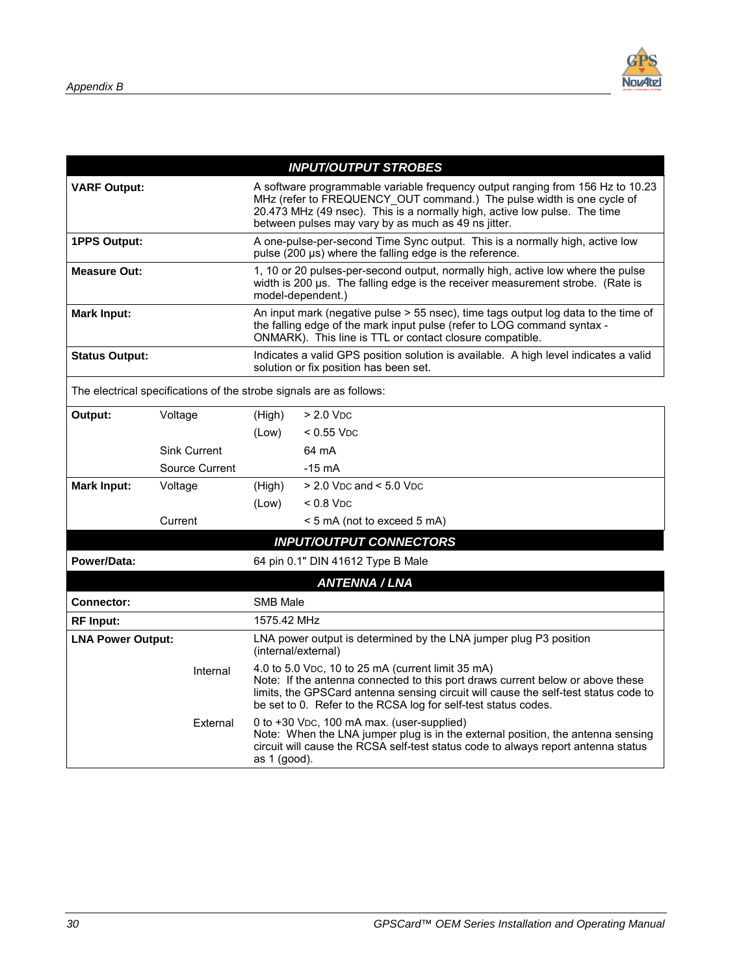

|                          |                                                                     |                                                                                                                                                                                                                                                                                             | <b>INPUT/OUTPUT STROBES</b>                                                                                                                                                                                                                                                                  |  |
|--------------------------|---------------------------------------------------------------------|---------------------------------------------------------------------------------------------------------------------------------------------------------------------------------------------------------------------------------------------------------------------------------------------|----------------------------------------------------------------------------------------------------------------------------------------------------------------------------------------------------------------------------------------------------------------------------------------------|--|
| <b>VARF Output:</b>      |                                                                     | A software programmable variable frequency output ranging from 156 Hz to 10.23<br>MHz (refer to FREQUENCY OUT command.) The pulse width is one cycle of<br>20.473 MHz (49 nsec). This is a normally high, active low pulse. The time<br>between pulses may vary by as much as 49 ns jitter. |                                                                                                                                                                                                                                                                                              |  |
| <b>1PPS Output:</b>      |                                                                     | A one-pulse-per-second Time Sync output. This is a normally high, active low<br>pulse (200 µs) where the falling edge is the reference.                                                                                                                                                     |                                                                                                                                                                                                                                                                                              |  |
| <b>Measure Out:</b>      |                                                                     | 1, 10 or 20 pulses-per-second output, normally high, active low where the pulse<br>width is 200 us. The falling edge is the receiver measurement strobe. (Rate is<br>model-dependent.)                                                                                                      |                                                                                                                                                                                                                                                                                              |  |
| Mark Input:              |                                                                     |                                                                                                                                                                                                                                                                                             | An input mark (negative pulse > 55 nsec), time tags output log data to the time of<br>the falling edge of the mark input pulse (refer to LOG command syntax -<br>ONMARK). This line is TTL or contact closure compatible.                                                                    |  |
| <b>Status Output:</b>    |                                                                     |                                                                                                                                                                                                                                                                                             | Indicates a valid GPS position solution is available. A high level indicates a valid<br>solution or fix position has been set.                                                                                                                                                               |  |
|                          | The electrical specifications of the strobe signals are as follows: |                                                                                                                                                                                                                                                                                             |                                                                                                                                                                                                                                                                                              |  |
| Output:                  | Voltage                                                             | (High)                                                                                                                                                                                                                                                                                      | $> 2.0$ V <sub>DC</sub>                                                                                                                                                                                                                                                                      |  |
|                          |                                                                     | (Low)                                                                                                                                                                                                                                                                                       | $<$ 0.55 V <sub>DC</sub>                                                                                                                                                                                                                                                                     |  |
|                          | <b>Sink Current</b>                                                 |                                                                                                                                                                                                                                                                                             | 64 mA                                                                                                                                                                                                                                                                                        |  |
| Source Current           |                                                                     |                                                                                                                                                                                                                                                                                             | $-15$ mA                                                                                                                                                                                                                                                                                     |  |
| <b>Mark Input:</b>       | Voltage                                                             | (High)                                                                                                                                                                                                                                                                                      | $> 2.0$ V <sub>DC</sub> and $< 5.0$ V <sub>DC</sub>                                                                                                                                                                                                                                          |  |
|                          |                                                                     | (Low)                                                                                                                                                                                                                                                                                       | $< 0.8$ V <sub>DC</sub>                                                                                                                                                                                                                                                                      |  |
| Current                  |                                                                     |                                                                                                                                                                                                                                                                                             | < 5 mA (not to exceed 5 mA)                                                                                                                                                                                                                                                                  |  |
|                          |                                                                     |                                                                                                                                                                                                                                                                                             | <b>INPUT/OUTPUT CONNECTORS</b>                                                                                                                                                                                                                                                               |  |
| Power/Data:              |                                                                     |                                                                                                                                                                                                                                                                                             | 64 pin 0.1" DIN 41612 Type B Male                                                                                                                                                                                                                                                            |  |
|                          |                                                                     |                                                                                                                                                                                                                                                                                             | <b>ANTENNA / LNA</b>                                                                                                                                                                                                                                                                         |  |
| <b>Connector:</b>        |                                                                     | <b>SMB Male</b>                                                                                                                                                                                                                                                                             |                                                                                                                                                                                                                                                                                              |  |
| <b>RF</b> Input:         |                                                                     | 1575.42 MHz                                                                                                                                                                                                                                                                                 |                                                                                                                                                                                                                                                                                              |  |
| <b>LNA Power Output:</b> |                                                                     | LNA power output is determined by the LNA jumper plug P3 position<br>(internal/external)                                                                                                                                                                                                    |                                                                                                                                                                                                                                                                                              |  |
| Internal                 |                                                                     |                                                                                                                                                                                                                                                                                             | 4.0 to 5.0 VDC, 10 to 25 mA (current limit 35 mA)<br>Note: If the antenna connected to this port draws current below or above these<br>limits, the GPSCard antenna sensing circuit will cause the self-test status code to<br>be set to 0. Refer to the RCSA log for self-test status codes. |  |
| External                 |                                                                     | as 1 (good).                                                                                                                                                                                                                                                                                | 0 to +30 VDC, 100 mA max. (user-supplied)<br>Note: When the LNA jumper plug is in the external position, the antenna sensing<br>circuit will cause the RCSA self-test status code to always report antenna status                                                                            |  |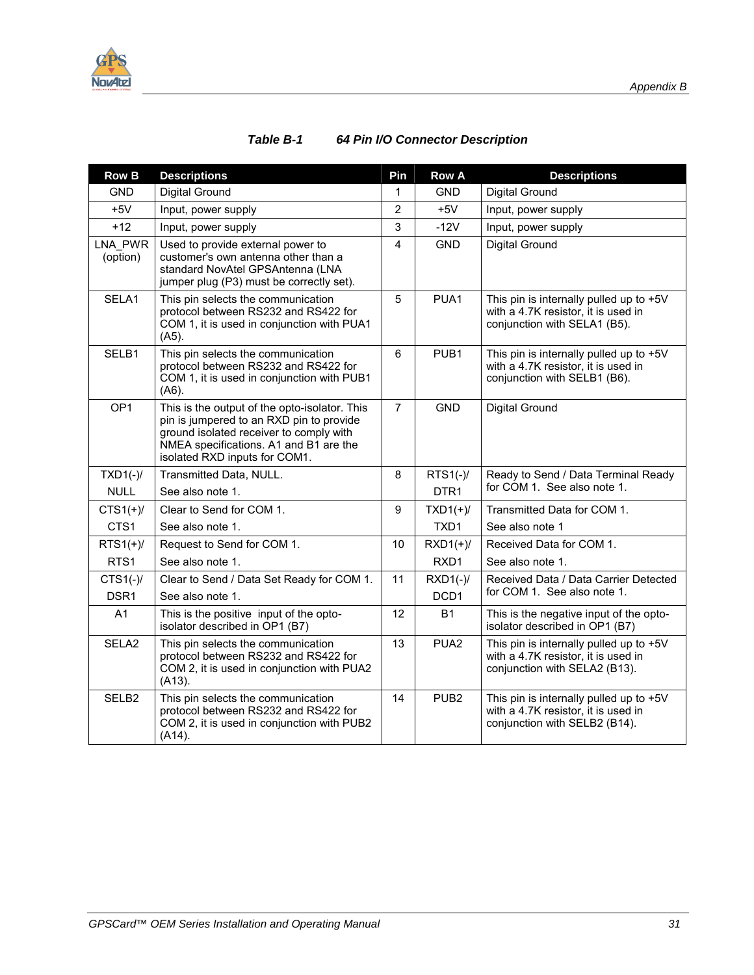<span id="page-38-0"></span>

| <b>Row B</b>               | <b>Descriptions</b>                                                                                                                                                                                             | Pin            | <b>Row A</b>     | <b>Descriptions</b>                                                                                             |
|----------------------------|-----------------------------------------------------------------------------------------------------------------------------------------------------------------------------------------------------------------|----------------|------------------|-----------------------------------------------------------------------------------------------------------------|
| <b>GND</b>                 | <b>Digital Ground</b>                                                                                                                                                                                           | 1              | <b>GND</b>       | <b>Digital Ground</b>                                                                                           |
| $+5V$                      | Input, power supply                                                                                                                                                                                             | $\overline{2}$ | $+5V$            | Input, power supply                                                                                             |
| $+12$                      | Input, power supply                                                                                                                                                                                             | 3              | $-12V$           | Input, power supply                                                                                             |
| <b>LNA PWR</b><br>(option) | Used to provide external power to<br>customer's own antenna other than a<br>standard NovAtel GPSAntenna (LNA<br>jumper plug (P3) must be correctly set).                                                        | $\overline{4}$ | <b>GND</b>       | Digital Ground                                                                                                  |
| SELA1                      | This pin selects the communication<br>protocol between RS232 and RS422 for<br>COM 1, it is used in conjunction with PUA1<br>$(A5)$ .                                                                            | 5              | PUA1             | This pin is internally pulled up to +5V<br>with a 4.7K resistor, it is used in<br>conjunction with SELA1 (B5).  |
| SELB1                      | This pin selects the communication<br>protocol between RS232 and RS422 for<br>COM 1, it is used in conjunction with PUB1<br>(46).                                                                               | 6              | PUB <sub>1</sub> | This pin is internally pulled up to +5V<br>with a 4.7K resistor, it is used in<br>conjunction with SELB1 (B6).  |
| OP <sub>1</sub>            | This is the output of the opto-isolator. This<br>pin is jumpered to an RXD pin to provide<br>ground isolated receiver to comply with<br>NMEA specifications. A1 and B1 are the<br>isolated RXD inputs for COM1. | $\overline{7}$ | <b>GND</b>       | Digital Ground                                                                                                  |
| $TXD1(-)$ /                | Transmitted Data, NULL.                                                                                                                                                                                         | 8              | $RTS1(-)$ /      | Ready to Send / Data Terminal Ready                                                                             |
| <b>NULL</b>                | See also note 1.                                                                                                                                                                                                |                | DTR <sub>1</sub> | for COM 1. See also note 1.                                                                                     |
| $CTS1(+)/$                 | Clear to Send for COM 1.                                                                                                                                                                                        | 9              | $TXD1(+)/$       | Transmitted Data for COM 1.                                                                                     |
| CTS1                       | See also note 1.                                                                                                                                                                                                |                | TXD1             | See also note 1                                                                                                 |
| $RTS1(+)/$                 | Request to Send for COM 1.                                                                                                                                                                                      | 10             | $RXD1(+)/$       | Received Data for COM 1.                                                                                        |
| RTS1                       | See also note 1.                                                                                                                                                                                                |                | RXD1             | See also note 1.                                                                                                |
| $CTS1(-)$                  | Clear to Send / Data Set Ready for COM 1.                                                                                                                                                                       | 11             | $RXD1(-)$ /      | Received Data / Data Carrier Detected                                                                           |
| DSR <sub>1</sub>           | See also note 1.                                                                                                                                                                                                |                | DCD1             | for COM 1. See also note 1.                                                                                     |
| A <sub>1</sub>             | This is the positive input of the opto-<br>isolator described in OP1 (B7)                                                                                                                                       | 12             | <b>B1</b>        | This is the negative input of the opto-<br>isolator described in OP1 (B7)                                       |
| SELA <sub>2</sub>          | This pin selects the communication<br>protocol between RS232 and RS422 for<br>COM 2, it is used in conjunction with PUA2<br>$(A13)$ .                                                                           | 13             | PUA <sub>2</sub> | This pin is internally pulled up to +5V<br>with a 4.7K resistor, it is used in<br>conjunction with SELA2 (B13). |
| SELB <sub>2</sub>          | This pin selects the communication<br>protocol between RS232 and RS422 for<br>COM 2, it is used in conjunction with PUB2<br>$(A14)$ .                                                                           | 14             | PUB <sub>2</sub> | This pin is internally pulled up to +5V<br>with a 4.7K resistor, it is used in<br>conjunction with SELB2 (B14). |

#### *Table B-1 64 Pin I/O Connector Description*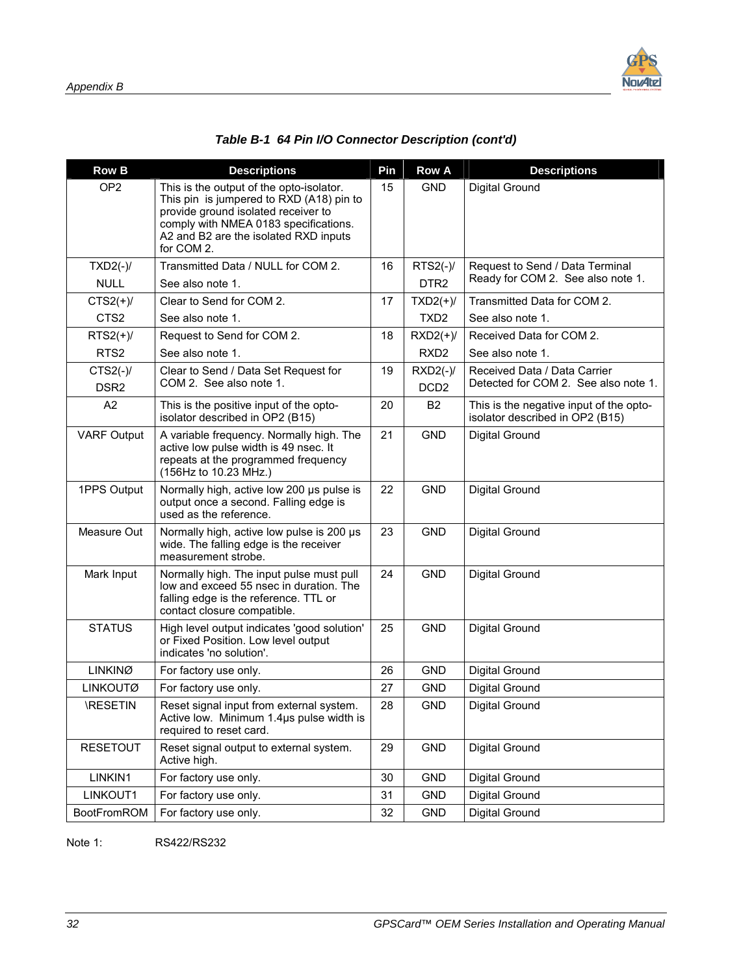

|  | Table B-1 64 Pin I/O Connector Description (cont'd) |  |
|--|-----------------------------------------------------|--|
|  |                                                     |  |

| <b>Row B</b>                   | <b>Descriptions</b>                                                                                                                                                                                                         | Pin | <b>Row A</b>                    | <b>Descriptions</b>                                                        |
|--------------------------------|-----------------------------------------------------------------------------------------------------------------------------------------------------------------------------------------------------------------------------|-----|---------------------------------|----------------------------------------------------------------------------|
| OP <sub>2</sub>                | This is the output of the opto-isolator.<br>This pin is jumpered to RXD (A18) pin to<br>provide ground isolated receiver to<br>comply with NMEA 0183 specifications.<br>A2 and B2 are the isolated RXD inputs<br>for COM 2. | 15  | <b>GND</b>                      | Digital Ground                                                             |
| $TXD2(-)$ /                    | Transmitted Data / NULL for COM 2.                                                                                                                                                                                          | 16  | $RTS2(-)$ /                     | Request to Send / Data Terminal                                            |
| <b>NULL</b>                    | See also note 1.                                                                                                                                                                                                            |     | DTR <sub>2</sub>                | Ready for COM 2. See also note 1.                                          |
| $CTS2(+)/$                     | Clear to Send for COM 2.                                                                                                                                                                                                    | 17  | $TXD2(+)/$                      | Transmitted Data for COM 2.                                                |
| CTS <sub>2</sub>               | See also note 1.                                                                                                                                                                                                            |     | TXD <sub>2</sub>                | See also note 1.                                                           |
| $RTS2(+)/$                     | Request to Send for COM 2.                                                                                                                                                                                                  | 18  | $RXD2(+)/$                      | Received Data for COM 2.                                                   |
| RTS <sub>2</sub>               | See also note 1.                                                                                                                                                                                                            |     | RXD <sub>2</sub>                | See also note 1.                                                           |
| $CTS2(-)/$<br>DSR <sub>2</sub> | Clear to Send / Data Set Request for<br>COM 2. See also note 1.                                                                                                                                                             | 19  | $RXD2(-)$ /<br>DCD <sub>2</sub> | Received Data / Data Carrier<br>Detected for COM 2. See also note 1.       |
| A2                             | This is the positive input of the opto-<br>isolator described in OP2 (B15)                                                                                                                                                  | 20  | <b>B2</b>                       | This is the negative input of the opto-<br>isolator described in OP2 (B15) |
| <b>VARF Output</b>             | A variable frequency. Normally high. The<br>active low pulse width is 49 nsec. It<br>repeats at the programmed frequency<br>(156Hz to 10.23 MHz.)                                                                           | 21  | <b>GND</b>                      | Digital Ground                                                             |
| 1PPS Output                    | Normally high, active low 200 us pulse is<br>output once a second. Falling edge is<br>used as the reference.                                                                                                                | 22  | <b>GND</b>                      | Digital Ground                                                             |
| Measure Out                    | Normally high, active low pulse is 200 µs<br>wide. The falling edge is the receiver<br>measurement strobe.                                                                                                                  | 23  | <b>GND</b>                      | Digital Ground                                                             |
| Mark Input                     | Normally high. The input pulse must pull<br>low and exceed 55 nsec in duration. The<br>falling edge is the reference. TTL or<br>contact closure compatible.                                                                 | 24  | <b>GND</b>                      | Digital Ground                                                             |
| <b>STATUS</b>                  | High level output indicates 'good solution'<br>or Fixed Position. Low level output<br>indicates 'no solution'.                                                                                                              | 25  | <b>GND</b>                      | Digital Ground                                                             |
| <b>LINKINØ</b>                 | For factory use only.                                                                                                                                                                                                       | 26  | <b>GND</b>                      | <b>Digital Ground</b>                                                      |
| <b>LINKOUTØ</b>                | For factory use only.                                                                                                                                                                                                       | 27  | <b>GND</b>                      | Digital Ground                                                             |
| <b>IRESETIN</b>                | Reset signal input from external system.<br>Active low. Minimum 1.4µs pulse width is<br>required to reset card.                                                                                                             | 28  | <b>GND</b>                      | Digital Ground                                                             |
| <b>RESETOUT</b>                | Reset signal output to external system.<br>Active high.                                                                                                                                                                     | 29  | <b>GND</b>                      | Digital Ground                                                             |
| LINKIN1                        | For factory use only.                                                                                                                                                                                                       | 30  | <b>GND</b>                      | Digital Ground                                                             |
| LINKOUT1                       | For factory use only.                                                                                                                                                                                                       | 31  | <b>GND</b>                      | Digital Ground                                                             |
| <b>BootFromROM</b>             | For factory use only.                                                                                                                                                                                                       | 32  | <b>GND</b>                      | Digital Ground                                                             |

Note 1: RS422/RS232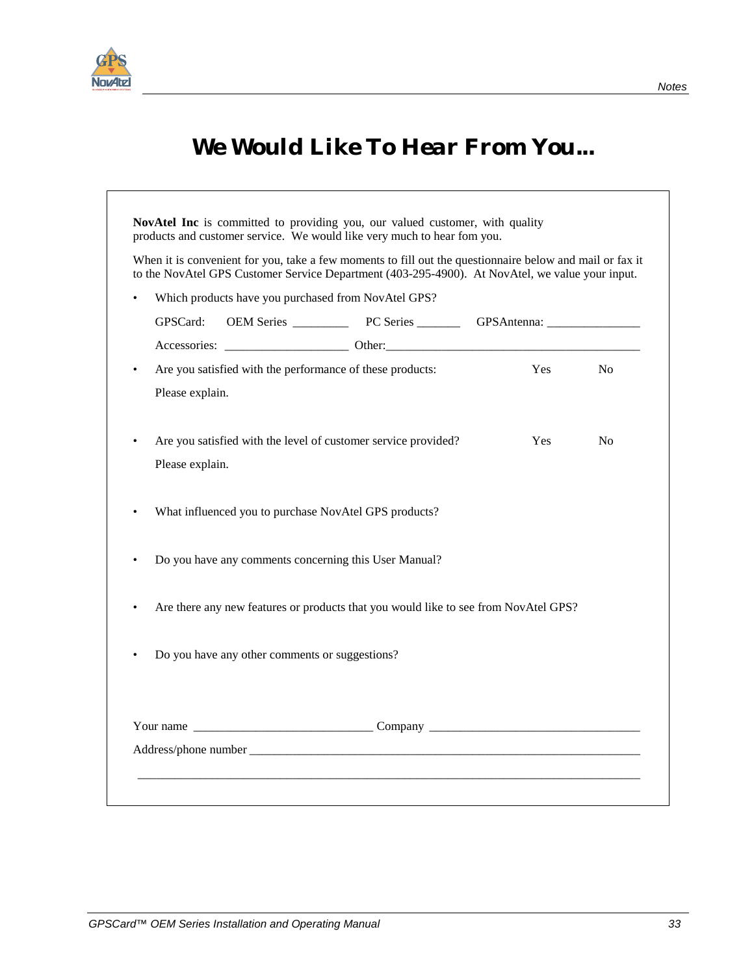<span id="page-40-0"></span>

 $\overline{\phantom{0}}$ 

## *We Would Like To Hear From You...*

|           |                 |                                                | When it is convenient for you, take a few moments to fill out the questionnaire below and mail or fax it<br>to the NovAtel GPS Customer Service Department (403-295-4900). At NovAtel, we value your input. |            |                |
|-----------|-----------------|------------------------------------------------|-------------------------------------------------------------------------------------------------------------------------------------------------------------------------------------------------------------|------------|----------------|
|           |                 |                                                | Which products have you purchased from NovAtel GPS?                                                                                                                                                         |            |                |
|           | GPSCard:        |                                                |                                                                                                                                                                                                             |            |                |
|           |                 |                                                |                                                                                                                                                                                                             |            |                |
| $\bullet$ |                 |                                                | Are you satisfied with the performance of these products:                                                                                                                                                   | Yes        | N <sub>o</sub> |
|           | Please explain. |                                                |                                                                                                                                                                                                             |            |                |
|           |                 |                                                | Are you satisfied with the level of customer service provided?                                                                                                                                              | <b>Yes</b> | N <sub>0</sub> |
|           | Please explain. |                                                |                                                                                                                                                                                                             |            |                |
|           |                 |                                                | What influenced you to purchase NovAtel GPS products?                                                                                                                                                       |            |                |
|           |                 |                                                | Do you have any comments concerning this User Manual?                                                                                                                                                       |            |                |
|           |                 |                                                | Are there any new features or products that you would like to see from NovAtel GPS?                                                                                                                         |            |                |
|           |                 | Do you have any other comments or suggestions? |                                                                                                                                                                                                             |            |                |
|           |                 |                                                |                                                                                                                                                                                                             |            |                |
|           |                 |                                                |                                                                                                                                                                                                             |            |                |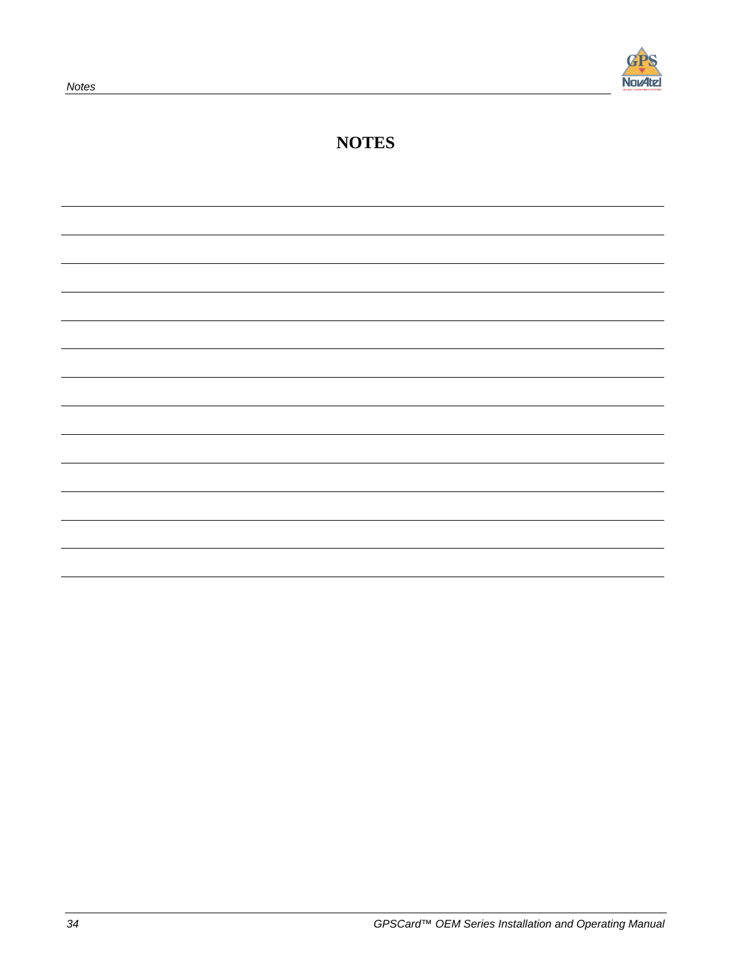

### **NOTES**

| <u> 1989 - Johann Stoff, fransk politik (f. 1989)</u> |  |  |
|-------------------------------------------------------|--|--|
|                                                       |  |  |
|                                                       |  |  |
|                                                       |  |  |
|                                                       |  |  |
|                                                       |  |  |
|                                                       |  |  |
|                                                       |  |  |
|                                                       |  |  |
|                                                       |  |  |
|                                                       |  |  |
|                                                       |  |  |
|                                                       |  |  |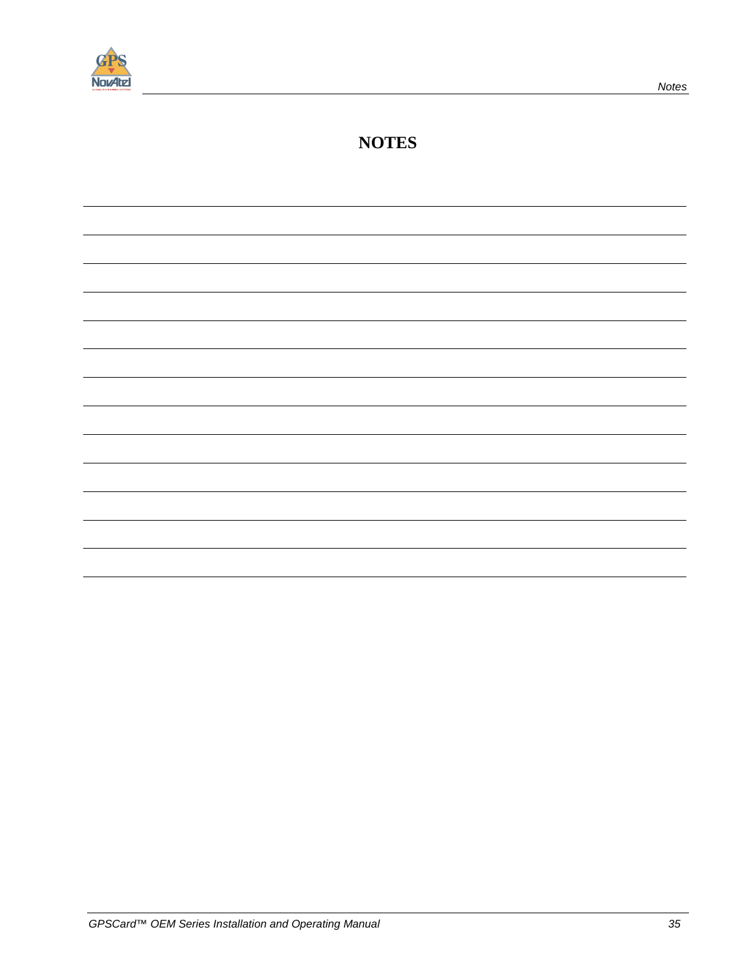

### **NOTES**

| $\overline{\phantom{0}}$                                            |
|---------------------------------------------------------------------|
|                                                                     |
|                                                                     |
|                                                                     |
|                                                                     |
|                                                                     |
|                                                                     |
|                                                                     |
|                                                                     |
|                                                                     |
|                                                                     |
|                                                                     |
|                                                                     |
|                                                                     |
|                                                                     |
|                                                                     |
|                                                                     |
|                                                                     |
|                                                                     |
|                                                                     |
|                                                                     |
|                                                                     |
|                                                                     |
|                                                                     |
|                                                                     |
|                                                                     |
|                                                                     |
| $\overline{\phantom{0}}$                                            |
|                                                                     |
|                                                                     |
|                                                                     |
|                                                                     |
|                                                                     |
|                                                                     |
|                                                                     |
|                                                                     |
|                                                                     |
|                                                                     |
| $\overline{\phantom{a}}$                                            |
|                                                                     |
|                                                                     |
|                                                                     |
|                                                                     |
| $\overline{\phantom{a}}$ . The contract of $\overline{\phantom{a}}$ |
|                                                                     |
|                                                                     |
|                                                                     |
|                                                                     |
|                                                                     |
| $\overline{\phantom{a}}$                                            |
|                                                                     |
|                                                                     |
|                                                                     |
|                                                                     |
| $\overline{\phantom{0}}$                                            |
|                                                                     |
|                                                                     |
|                                                                     |
|                                                                     |
|                                                                     |
|                                                                     |
|                                                                     |
|                                                                     |
|                                                                     |
|                                                                     |